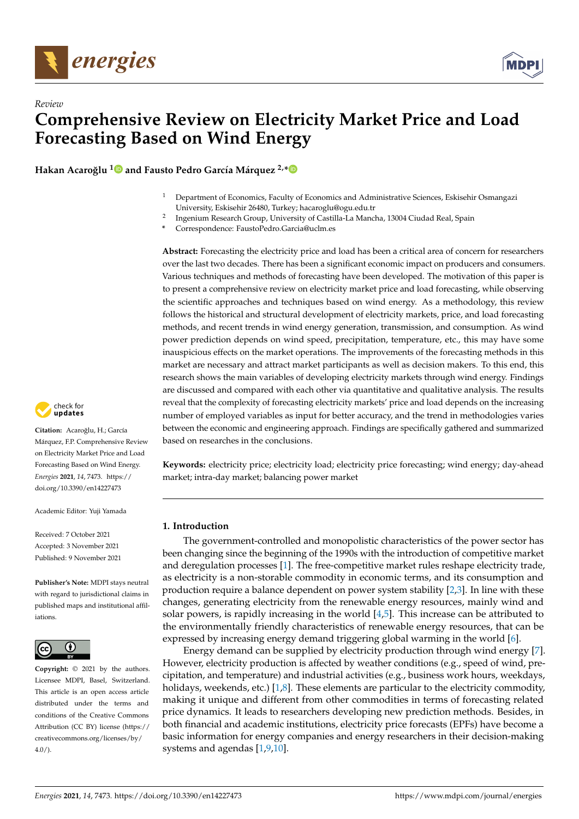



**Hakan Acaroğlu<sup>[1](https://orcid.org/0000-0001-6757-2140)</sup> and Fausto Pedro García Márquez<sup>2,[\\*](https://orcid.org/0000-0002-9245-440X)</sup>** 

- <sup>1</sup> Department of Economics, Faculty of Economics and Administrative Sciences, Eskisehir Osmangazi University, Eskisehir 26480, Turkey; hacaroglu@ogu.edu.tr
- 2 Ingenium Research Group, University of Castilla-La Mancha, 13004 Ciudad Real, Spain
- **\*** Correspondence: FaustoPedro.Garcia@uclm.es

**Abstract:** Forecasting the electricity price and load has been a critical area of concern for researchers over the last two decades. There has been a significant economic impact on producers and consumers. Various techniques and methods of forecasting have been developed. The motivation of this paper is to present a comprehensive review on electricity market price and load forecasting, while observing the scientific approaches and techniques based on wind energy. As a methodology, this review follows the historical and structural development of electricity markets, price, and load forecasting methods, and recent trends in wind energy generation, transmission, and consumption. As wind power prediction depends on wind speed, precipitation, temperature, etc., this may have some inauspicious effects on the market operations. The improvements of the forecasting methods in this market are necessary and attract market participants as well as decision makers. To this end, this research shows the main variables of developing electricity markets through wind energy. Findings are discussed and compared with each other via quantitative and qualitative analysis. The results reveal that the complexity of forecasting electricity markets' price and load depends on the increasing number of employed variables as input for better accuracy, and the trend in methodologies varies between the economic and engineering approach. Findings are specifically gathered and summarized based on researches in the conclusions.

**Keywords:** electricity price; electricity load; electricity price forecasting; wind energy; day-ahead market; intra-day market; balancing power market

# **1. Introduction**

The government-controlled and monopolistic characteristics of the power sector has been changing since the beginning of the 1990s with the introduction of competitive market and deregulation processes [\[1\]](#page-16-0). The free-competitive market rules reshape electricity trade, as electricity is a non-storable commodity in economic terms, and its consumption and production require a balance dependent on power system stability [\[2](#page-16-1)[,3\]](#page-16-2). In line with these changes, generating electricity from the renewable energy resources, mainly wind and solar powers, is rapidly increasing in the world  $[4,5]$  $[4,5]$ . This increase can be attributed to the environmentally friendly characteristics of renewable energy resources, that can be expressed by increasing energy demand triggering global warming in the world [\[6\]](#page-17-1).

Energy demand can be supplied by electricity production through wind energy [\[7\]](#page-17-2). However, electricity production is affected by weather conditions (e.g., speed of wind, precipitation, and temperature) and industrial activities (e.g., business work hours, weekdays, holidays, weekends, etc.)  $[1,8]$  $[1,8]$ . These elements are particular to the electricity commodity, making it unique and different from other commodities in terms of forecasting related price dynamics. It leads to researchers developing new prediction methods. Besides, in both financial and academic institutions, electricity price forecasts (EPFs) have become a basic information for energy companies and energy researchers in their decision-making systems and agendas [\[1](#page-16-0)[,9](#page-17-4)[,10\]](#page-17-5).



Citation: Acaroğlu, H.; García Márquez, F.P. Comprehensive Review on Electricity Market Price and Load Forecasting Based on Wind Energy. *Energies* **2021**, *14*, 7473. [https://](https://doi.org/10.3390/en14227473) [doi.org/10.3390/en14227473](https://doi.org/10.3390/en14227473)

Academic Editor: Yuji Yamada

Received: 7 October 2021 Accepted: 3 November 2021 Published: 9 November 2021

**Publisher's Note:** MDPI stays neutral with regard to jurisdictional claims in published maps and institutional affiliations.



**Copyright:** © 2021 by the authors. Licensee MDPI, Basel, Switzerland. This article is an open access article distributed under the terms and conditions of the Creative Commons Attribution (CC BY) license (https:/[/](https://creativecommons.org/licenses/by/4.0/) [creativecommons.org/licenses/by/](https://creativecommons.org/licenses/by/4.0/)  $4.0/$ ).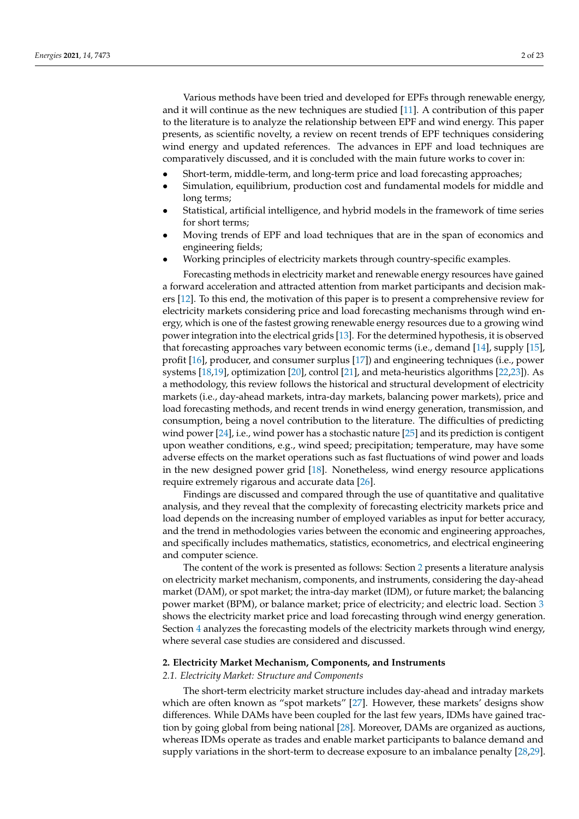Various methods have been tried and developed for EPFs through renewable energy, and it will continue as the new techniques are studied [\[11\]](#page-17-6). A contribution of this paper to the literature is to analyze the relationship between EPF and wind energy. This paper presents, as scientific novelty, a review on recent trends of EPF techniques considering wind energy and updated references. The advances in EPF and load techniques are comparatively discussed, and it is concluded with the main future works to cover in:

- Short-term, middle-term, and long-term price and load forecasting approaches;
- Simulation, equilibrium, production cost and fundamental models for middle and long terms;
- Statistical, artificial intelligence, and hybrid models in the framework of time series for short terms;
- Moving trends of EPF and load techniques that are in the span of economics and engineering fields;
- Working principles of electricity markets through country-specific examples.

Forecasting methods in electricity market and renewable energy resources have gained a forward acceleration and attracted attention from market participants and decision makers [\[12\]](#page-17-7). To this end, the motivation of this paper is to present a comprehensive review for electricity markets considering price and load forecasting mechanisms through wind energy, which is one of the fastest growing renewable energy resources due to a growing wind power integration into the electrical grids [\[13\]](#page-17-8). For the determined hypothesis, it is observed that forecasting approaches vary between economic terms (i.e., demand [\[14\]](#page-17-9), supply [\[15\]](#page-17-10), profit [\[16\]](#page-17-11), producer, and consumer surplus [\[17\]](#page-17-12)) and engineering techniques (i.e., power systems [\[18](#page-17-13)[,19\]](#page-17-14), optimization [\[20\]](#page-17-15), control [\[21\]](#page-17-16), and meta-heuristics algorithms [\[22](#page-17-17)[,23\]](#page-17-18)). As a methodology, this review follows the historical and structural development of electricity markets (i.e., day-ahead markets, intra-day markets, balancing power markets), price and load forecasting methods, and recent trends in wind energy generation, transmission, and consumption, being a novel contribution to the literature. The difficulties of predicting wind power [\[24\]](#page-17-19), i.e., wind power has a stochastic nature [\[25\]](#page-17-20) and its prediction is contigent upon weather conditions, e.g., wind speed; precipitation; temperature, may have some adverse effects on the market operations such as fast fluctuations of wind power and loads in the new designed power grid [\[18\]](#page-17-13). Nonetheless, wind energy resource applications require extremely rigarous and accurate data [\[26\]](#page-17-21).

Findings are discussed and compared through the use of quantitative and qualitative analysis, and they reveal that the complexity of forecasting electricity markets price and load depends on the increasing number of employed variables as input for better accuracy, and the trend in methodologies varies between the economic and engineering approaches, and specifically includes mathematics, statistics, econometrics, and electrical engineering and computer science.

The content of the work is presented as follows: Section [2](#page-1-0) presents a literature analysis on electricity market mechanism, components, and instruments, considering the day-ahead market (DAM), or spot market; the intra-day market (IDM), or future market; the balancing power market (BPM), or balance market; price of electricity; and electric load. Section [3](#page-5-0) shows the electricity market price and load forecasting through wind energy generation. Section [4](#page-13-0) analyzes the forecasting models of the electricity markets through wind energy, where several case studies are considered and discussed.

#### <span id="page-1-0"></span>**2. Electricity Market Mechanism, Components, and Instruments**

#### *2.1. Electricity Market: Structure and Components*

The short-term electricity market structure includes day-ahead and intraday markets which are often known as "spot markets" [\[27\]](#page-17-22). However, these markets' designs show differences. While DAMs have been coupled for the last few years, IDMs have gained traction by going global from being national [\[28\]](#page-17-23). Moreover, DAMs are organized as auctions, whereas IDMs operate as trades and enable market participants to balance demand and supply variations in the short-term to decrease exposure to an imbalance penalty [\[28,](#page-17-23)[29\]](#page-17-24).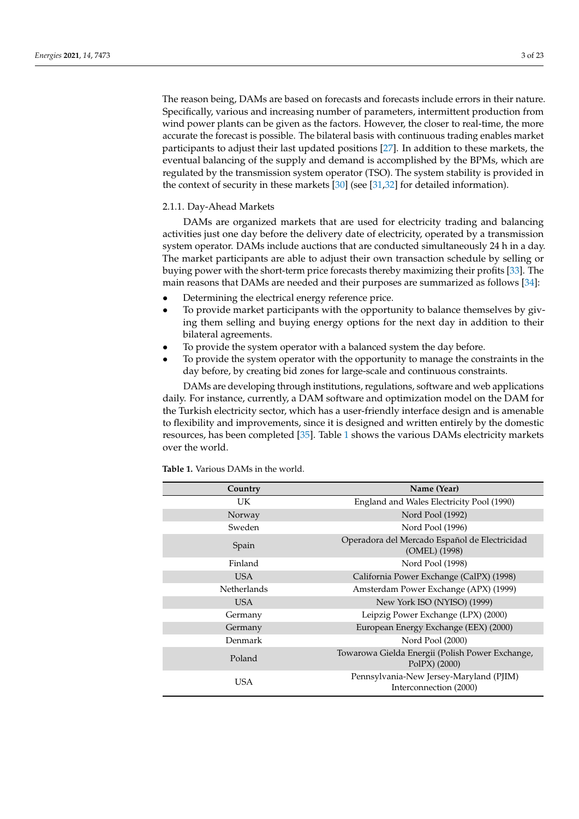The reason being, DAMs are based on forecasts and forecasts include errors in their nature. Specifically, various and increasing number of parameters, intermittent production from wind power plants can be given as the factors. However, the closer to real-time, the more accurate the forecast is possible. The bilateral basis with continuous trading enables market participants to adjust their last updated positions [\[27\]](#page-17-22). In addition to these markets, the eventual balancing of the supply and demand is accomplished by the BPMs, which are regulated by the transmission system operator (TSO). The system stability is provided in the context of security in these markets [\[30\]](#page-17-25) (see [\[31](#page-17-26)[,32\]](#page-17-27) for detailed information).

# 2.1.1. Day-Ahead Markets

DAMs are organized markets that are used for electricity trading and balancing activities just one day before the delivery date of electricity, operated by a transmission system operator. DAMs include auctions that are conducted simultaneously 24 h in a day. The market participants are able to adjust their own transaction schedule by selling or buying power with the short-term price forecasts thereby maximizing their profits [\[33\]](#page-18-0). The main reasons that DAMs are needed and their purposes are summarized as follows [\[34\]](#page-18-1):

- Determining the electrical energy reference price.
- To provide market participants with the opportunity to balance themselves by giving them selling and buying energy options for the next day in addition to their bilateral agreements.
- To provide the system operator with a balanced system the day before.
- To provide the system operator with the opportunity to manage the constraints in the day before, by creating bid zones for large-scale and continuous constraints.

DAMs are developing through institutions, regulations, software and web applications daily. For instance, currently, a DAM software and optimization model on the DAM for the Turkish electricity sector, which has a user-friendly interface design and is amenable to flexibility and improvements, since it is designed and written entirely by the domestic resources, has been completed [\[35\]](#page-18-2). Table [1](#page-3-0) shows the various DAMs electricity markets over the world.

| Country            | Name (Year)                                                       |
|--------------------|-------------------------------------------------------------------|
| UK                 | England and Wales Electricity Pool (1990)                         |
| Norway             | Nord Pool (1992)                                                  |
| Sweden             | Nord Pool (1996)                                                  |
| Spain              | Operadora del Mercado Español de Electricidad<br>(OMEL) (1998)    |
| Finland            | Nord Pool (1998)                                                  |
| <b>USA</b>         | California Power Exchange (CalPX) (1998)                          |
| <b>Netherlands</b> | Amsterdam Power Exchange (APX) (1999)                             |
| USA                | New York ISO (NYISO) (1999)                                       |
| Germany            | Leipzig Power Exchange (LPX) (2000)                               |
| Germany            | European Energy Exchange (EEX) (2000)                             |
| Denmark            | Nord Pool (2000)                                                  |
| Poland             | Towarowa Gielda Energii (Polish Power Exchange,<br>PolPX $(2000)$ |
| USA                | Pennsylvania-New Jersey-Maryland (PJIM)<br>Interconnection (2000) |

**Table 1.** Various DAMs in the world.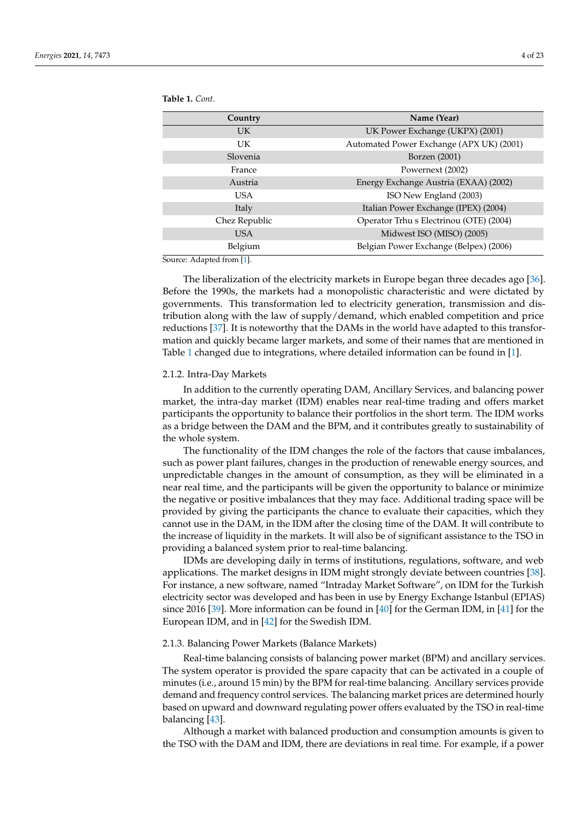<span id="page-3-0"></span>**Table 1.** *Cont.*

| Country        | Name (Year)                              |
|----------------|------------------------------------------|
| UK.            | UK Power Exchange (UKPX) (2001)          |
| UK             | Automated Power Exchange (APX UK) (2001) |
| Slovenia       | Borzen (2001)                            |
| France         | Powernext (2002)                         |
| Austria        | Energy Exchange Austria (EXAA) (2002)    |
| USA            | ISO New England (2003)                   |
| Italy          | Italian Power Exchange (IPEX) (2004)     |
| Chez Republic  | Operator Trhu s Electrinou (OTE) (2004)  |
| <b>USA</b>     | Midwest ISO (MISO) (2005)                |
| Belgium<br>$-$ | Belgian Power Exchange (Belpex) (2006)   |

Source: Adapted from [\[1\]](#page-16-0).

The liberalization of the electricity markets in Europe began three decades ago [\[36\]](#page-18-3). Before the 1990s, the markets had a monopolistic characteristic and were dictated by governments. This transformation led to electricity generation, transmission and distribution along with the law of supply/demand, which enabled competition and price reductions [\[37\]](#page-18-4). It is noteworthy that the DAMs in the world have adapted to this transformation and quickly became larger markets, and some of their names that are mentioned in Table [1](#page-3-0) changed due to integrations, where detailed information can be found in [\[1\]](#page-16-0).

#### 2.1.2. Intra-Day Markets

In addition to the currently operating DAM, Ancillary Services, and balancing power market, the intra-day market (IDM) enables near real-time trading and offers market participants the opportunity to balance their portfolios in the short term. The IDM works as a bridge between the DAM and the BPM, and it contributes greatly to sustainability of the whole system.

The functionality of the IDM changes the role of the factors that cause imbalances, such as power plant failures, changes in the production of renewable energy sources, and unpredictable changes in the amount of consumption, as they will be eliminated in a near real time, and the participants will be given the opportunity to balance or minimize the negative or positive imbalances that they may face. Additional trading space will be provided by giving the participants the chance to evaluate their capacities, which they cannot use in the DAM, in the IDM after the closing time of the DAM. It will contribute to the increase of liquidity in the markets. It will also be of significant assistance to the TSO in providing a balanced system prior to real-time balancing.

IDMs are developing daily in terms of institutions, regulations, software, and web applications. The market designs in IDM might strongly deviate between countries [\[38\]](#page-18-5). For instance, a new software, named "Intraday Market Software", on IDM for the Turkish electricity sector was developed and has been in use by Energy Exchange Istanbul (EPIAS) since 2016 [\[39\]](#page-18-6). More information can be found in [\[40\]](#page-18-7) for the German IDM, in [\[41\]](#page-18-8) for the European IDM, and in [\[42\]](#page-18-9) for the Swedish IDM.

## 2.1.3. Balancing Power Markets (Balance Markets)

Real-time balancing consists of balancing power market (BPM) and ancillary services. The system operator is provided the spare capacity that can be activated in a couple of minutes (i.e., around 15 min) by the BPM for real-time balancing. Ancillary services provide demand and frequency control services. The balancing market prices are determined hourly based on upward and downward regulating power offers evaluated by the TSO in real-time balancing [\[43\]](#page-18-10).

Although a market with balanced production and consumption amounts is given to the TSO with the DAM and IDM, there are deviations in real time. For example, if a power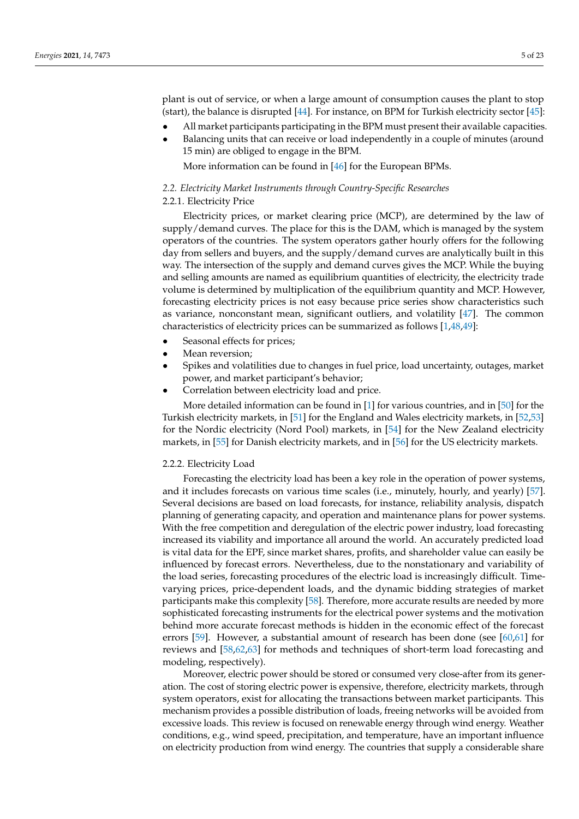plant is out of service, or when a large amount of consumption causes the plant to stop (start), the balance is disrupted [\[44\]](#page-18-11). For instance, on BPM for Turkish electricity sector [\[45\]](#page-18-12):

- All market participants participating in the BPM must present their available capacities.
- Balancing units that can receive or load independently in a couple of minutes (around 15 min) are obliged to engage in the BPM.

More information can be found in [\[46\]](#page-18-13) for the European BPMs.

# *2.2. Electricity Market Instruments through Country-Specific Researches*

# 2.2.1. Electricity Price

Electricity prices, or market clearing price (MCP), are determined by the law of supply/demand curves. The place for this is the DAM, which is managed by the system operators of the countries. The system operators gather hourly offers for the following day from sellers and buyers, and the supply/demand curves are analytically built in this way. The intersection of the supply and demand curves gives the MCP. While the buying and selling amounts are named as equilibrium quantities of electricity, the electricity trade volume is determined by multiplication of the equilibrium quantity and MCP. However, forecasting electricity prices is not easy because price series show characteristics such as variance, nonconstant mean, significant outliers, and volatility [\[47\]](#page-18-14). The common characteristics of electricity prices can be summarized as follows [\[1,](#page-16-0)[48,](#page-18-15)[49\]](#page-18-16):

- Seasonal effects for prices;
- Mean reversion;
- Spikes and volatilities due to changes in fuel price, load uncertainty, outages, market power, and market participant's behavior;
- Correlation between electricity load and price.

More detailed information can be found in [\[1\]](#page-16-0) for various countries, and in [\[50\]](#page-18-17) for the Turkish electricity markets, in [\[51\]](#page-18-18) for the England and Wales electricity markets, in [\[52,](#page-18-19)[53\]](#page-18-20) for the Nordic electricity (Nord Pool) markets, in [\[54\]](#page-18-21) for the New Zealand electricity markets, in [\[55\]](#page-18-22) for Danish electricity markets, and in [\[56\]](#page-18-23) for the US electricity markets.

#### 2.2.2. Electricity Load

Forecasting the electricity load has been a key role in the operation of power systems, and it includes forecasts on various time scales (i.e., minutely, hourly, and yearly) [\[57\]](#page-18-24). Several decisions are based on load forecasts, for instance, reliability analysis, dispatch planning of generating capacity, and operation and maintenance plans for power systems. With the free competition and deregulation of the electric power industry, load forecasting increased its viability and importance all around the world. An accurately predicted load is vital data for the EPF, since market shares, profits, and shareholder value can easily be influenced by forecast errors. Nevertheless, due to the nonstationary and variability of the load series, forecasting procedures of the electric load is increasingly difficult. Timevarying prices, price-dependent loads, and the dynamic bidding strategies of market participants make this complexity [\[58\]](#page-18-25). Therefore, more accurate results are needed by more sophisticated forecasting instruments for the electrical power systems and the motivation behind more accurate forecast methods is hidden in the economic effect of the forecast errors [\[59\]](#page-18-26). However, a substantial amount of research has been done (see [\[60,](#page-18-27)[61\]](#page-18-28) for reviews and [\[58,](#page-18-25)[62,](#page-18-29)[63\]](#page-18-30) for methods and techniques of short-term load forecasting and modeling, respectively).

Moreover, electric power should be stored or consumed very close-after from its generation. The cost of storing electric power is expensive, therefore, electricity markets, through system operators, exist for allocating the transactions between market participants. This mechanism provides a possible distribution of loads, freeing networks will be avoided from excessive loads. This review is focused on renewable energy through wind energy. Weather conditions, e.g., wind speed, precipitation, and temperature, have an important influence on electricity production from wind energy. The countries that supply a considerable share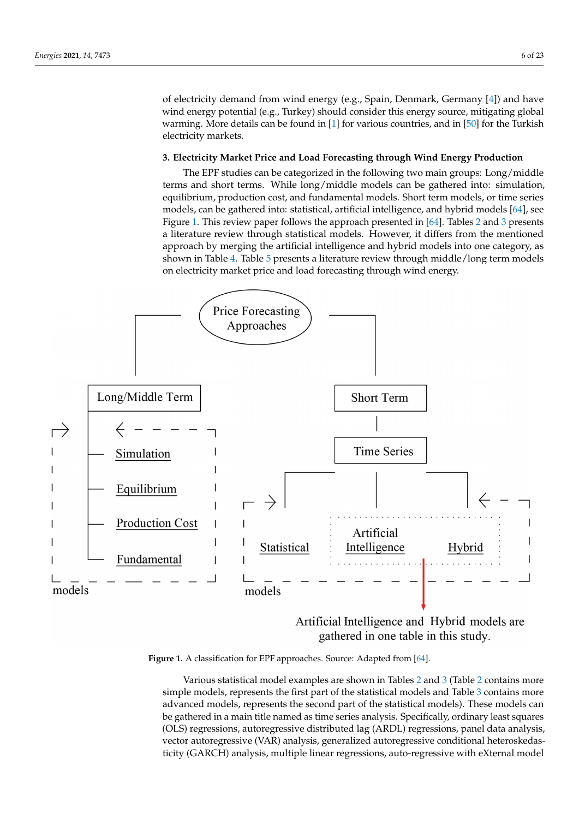of electricity demand from wind energy (e.g., Spain, Denmark, Germany [\[4\]](#page-16-3)) and have wind energy potential (e.g., Turkey) should consider this energy source, mitigating global warming. More details can be found in  $[1]$  for various countries, and in  $[50]$  for the Turkish electricity markets.

# <span id="page-5-0"></span>**3. Electricity Market Price and Load Forecasting through Wind Energy Production**

The EPF studies can be categorized in the following two main groups: Long/middle terms and short terms. While long/middle models can be gathered into: simulation, equilibrium, production cost, and fundamental models. Short term models, or time series models, can be gathered into: statistical, artificial intelligence, and hybrid models [\[64\]](#page-19-0), see Figure [1.](#page-5-1) This review paper follows the approach presented in [\[64\]](#page-19-0). Tables [2](#page-7-0) and [3](#page-9-0) presents a literature review through statistical models. However, it differs from the mentioned approach by merging the artificial intelligence and hybrid models into one category, as shown in Table [4.](#page-10-0) Table [5](#page-12-0) presents a literature review through middle/long term models on electricity market price and load forecasting through wind energy.

<span id="page-5-1"></span>

Artificial Intelligence and Hybrid models are gathered in one table in this study.

**Figure 1.** A classification for EPF approaches. Source: Adapted from [64]. **Figure 1.** A classification for EPF approaches. Source: Adapted from [\[64\]](#page-19-0).

The studies concentration and the studies of the statistical models and Table [3](#page-9-0) contains more simple models, represents the first part of the statistical models and Table 3 contains more price are viables, represents the mot part of the statistical models and raste s contains more advanced models, represents the second part of the statistical models). These models can analysis and time series regressions for Italy and for Italy california in the series of the series of the series of the series of the series of the series of the series of the series of the series of the series of the ser be gathered in a main title named as time series analysis. Specifically, ordinary least squares<br>COLO monography contrary respective distributed by  $(ADD)$  monography contrary least squares (OLS) regressions, autoregressive distributed lag (ARDL) regressions, panel data analysis,<br>
intervalsed for all the contract of the contract of the contract of the contract of the contract of the contra vector autoregressive (VAR) analysis, generalized autoregressive conditional heteroskedas-<br>vector autoregressive (VAR) analysis, generalized autoregressive conditional heteroskedasticity ( $\text{GARCH}$ ) analysis, multiple linear regressions, auto-regressive with eXternal model Various statistical model examples are shown in Tables [2](#page-7-0) and [3](#page-9-0) (Table [2](#page-7-0) contains more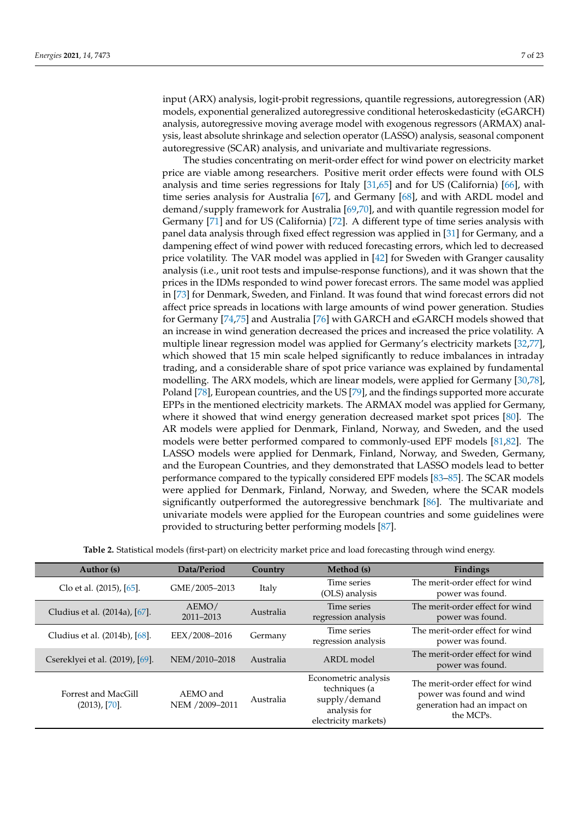input (ARX) analysis, logit-probit regressions, quantile regressions, autoregression (AR) models, exponential generalized autoregressive conditional heteroskedasticity (eGARCH) analysis, autoregressive moving average model with exogenous regressors (ARMAX) analysis, least absolute shrinkage and selection operator (LASSO) analysis, seasonal component autoregressive (SCAR) analysis, and univariate and multivariate regressions.

The studies concentrating on merit-order effect for wind power on electricity market price are viable among researchers. Positive merit order effects were found with OLS analysis and time series regressions for Italy [\[31](#page-17-26)[,65\]](#page-19-1) and for US (California) [\[66\]](#page-19-2), with time series analysis for Australia [\[67\]](#page-19-3), and Germany [\[68\]](#page-19-4), and with ARDL model and demand/supply framework for Australia [\[69,](#page-19-5)[70\]](#page-19-6), and with quantile regression model for Germany [\[71\]](#page-19-7) and for US (California) [\[72\]](#page-19-8). A different type of time series analysis with panel data analysis through fixed effect regression was applied in [\[31\]](#page-17-26) for Germany, and a dampening effect of wind power with reduced forecasting errors, which led to decreased price volatility. The VAR model was applied in [\[42\]](#page-18-9) for Sweden with Granger causality analysis (i.e., unit root tests and impulse-response functions), and it was shown that the prices in the IDMs responded to wind power forecast errors. The same model was applied in [\[73\]](#page-19-9) for Denmark, Sweden, and Finland. It was found that wind forecast errors did not affect price spreads in locations with large amounts of wind power generation. Studies for Germany [\[74](#page-19-10)[,75\]](#page-19-11) and Australia [\[76\]](#page-19-12) with GARCH and eGARCH models showed that an increase in wind generation decreased the prices and increased the price volatility. A multiple linear regression model was applied for Germany's electricity markets [\[32,](#page-17-27)[77\]](#page-19-13), which showed that 15 min scale helped significantly to reduce imbalances in intraday trading, and a considerable share of spot price variance was explained by fundamental modelling. The ARX models, which are linear models, were applied for Germany [\[30,](#page-17-25)[78\]](#page-19-14), Poland [\[78\]](#page-19-14), European countries, and the US [\[79\]](#page-19-15), and the findings supported more accurate EPPs in the mentioned electricity markets. The ARMAX model was applied for Germany, where it showed that wind energy generation decreased market spot prices [\[80\]](#page-19-16). The AR models were applied for Denmark, Finland, Norway, and Sweden, and the used models were better performed compared to commonly-used EPF models [\[81,](#page-19-17)[82\]](#page-19-18). The LASSO models were applied for Denmark, Finland, Norway, and Sweden, Germany, and the European Countries, and they demonstrated that LASSO models lead to better performance compared to the typically considered EPF models [\[83–](#page-19-19)[85\]](#page-19-20). The SCAR models were applied for Denmark, Finland, Norway, and Sweden, where the SCAR models significantly outperformed the autoregressive benchmark [\[86\]](#page-19-21). The multivariate and univariate models were applied for the European countries and some guidelines were provided to structuring better performing models [\[87\]](#page-19-22).

| Table 2. Statistical models (first-part) on electricity market price and load forecasting through wind energy. |  |  |  |
|----------------------------------------------------------------------------------------------------------------|--|--|--|
|----------------------------------------------------------------------------------------------------------------|--|--|--|

| Author (s)                                  | Data/Period                | Country   | Method (s)                                                                                     | Findings                                                                                                |
|---------------------------------------------|----------------------------|-----------|------------------------------------------------------------------------------------------------|---------------------------------------------------------------------------------------------------------|
| Clo et al. (2015), [65].                    | GME/2005-2013              | Italy     | Time series<br>(OLS) analysis                                                                  | The merit-order effect for wind<br>power was found.                                                     |
| Cludius et al. (2014a), [67].               | AEMO/<br>2011-2013         | Australia | Time series<br>regression analysis                                                             | The merit-order effect for wind<br>power was found.                                                     |
| Cludius et al. (2014b), [68].               | EEX/2008-2016              | Germany   | Time series<br>regression analysis                                                             | The merit-order effect for wind<br>power was found.                                                     |
| Csereklyei et al. (2019), [69].             | NEM/2010-2018              | Australia | ARDL model                                                                                     | The merit-order effect for wind<br>power was found.                                                     |
| <b>Forrest and MacGill</b><br>(2013), [70]. | AEMO and<br>NEM /2009-2011 | Australia | Econometric analysis<br>techniques (a<br>supply/demand<br>analysis for<br>electricity markets) | The merit-order effect for wind<br>power was found and wind<br>generation had an impact on<br>the MCPs. |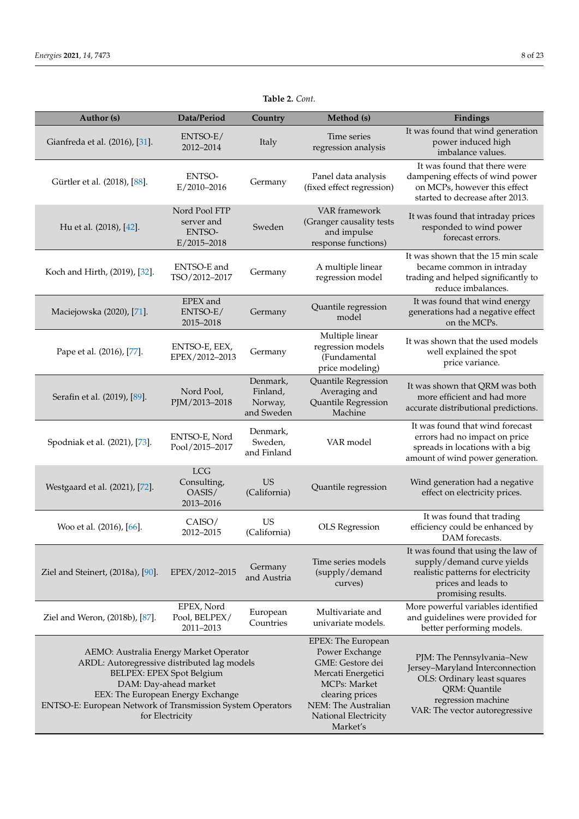<span id="page-7-0"></span>

|                                | Table 2. Cont.                                           |         |                                                                                        |                                                                                                                                    |  |  |
|--------------------------------|----------------------------------------------------------|---------|----------------------------------------------------------------------------------------|------------------------------------------------------------------------------------------------------------------------------------|--|--|
| Author (s)                     | Data/Period                                              | Country | Method (s)                                                                             | Findings                                                                                                                           |  |  |
| Gianfreda et al. (2016), [31]. | ENTSO-E/<br>2012-2014                                    | Italy   | Time series<br>regression analysis                                                     | It was found that wind generation<br>power induced high<br>imbalance values.                                                       |  |  |
| Gürtler et al. (2018), [88].   | <b>ENTSO-</b><br>$E/2010 - 2016$                         | Germany | Panel data analysis<br>(fixed effect regression)                                       | It was found that there were<br>dampening effects of wind power<br>on MCPs, however this effect<br>started to decrease after 2013. |  |  |
| Hu et al. (2018), [42].        | Nord Pool FTP<br>server and<br>ENTSO-<br>$E/2015 - 2018$ | Sweden  | <b>VAR</b> framework<br>(Granger causality tests<br>and impulse<br>response functions) | It was found that intraday prices<br>responded to wind power<br>forecast errors.                                                   |  |  |
| Koch and Hirth, (2019), [32].  | ENTSO-E and<br>TSO/2012-2017                             | Germany | A multiple linear<br>regression model                                                  | It was shown that the 15 min scale<br>became common in intraday<br>trading and helped significantly to<br>reduce imbalances.       |  |  |
| Maciejowska (2020), [71].      | EPEX and<br>ENTSO-E/<br>2015-2018                        | Germany | Quantile regression<br>model                                                           | It was found that wind energy<br>generations had a negative effect<br>on the MCPs.                                                 |  |  |
|                                | <b>FAITCO F FFV</b>                                      |         | Multiple linear<br>. 1 1 .                                                             | It was shown that the used models                                                                                                  |  |  |

| Koch and Hirth, (2019), [32].                                                                                                                                                                                                                                     | ENTSO-E and<br>TSO/2012-2017                     | Germany                                       | A multiple linear<br>regression model                                                                                                                                        | It was shown that the 15 min scale<br>became common in intraday<br>trading and helped significantly to<br>reduce imbalances.                                         |
|-------------------------------------------------------------------------------------------------------------------------------------------------------------------------------------------------------------------------------------------------------------------|--------------------------------------------------|-----------------------------------------------|------------------------------------------------------------------------------------------------------------------------------------------------------------------------------|----------------------------------------------------------------------------------------------------------------------------------------------------------------------|
| Maciejowska (2020), [71].                                                                                                                                                                                                                                         | EPEX and<br>ENTSO-E/<br>2015-2018                | Germany                                       | Quantile regression<br>model                                                                                                                                                 | It was found that wind energy<br>generations had a negative effect<br>on the MCPs.                                                                                   |
| Pape et al. (2016), [77].                                                                                                                                                                                                                                         | ENTSO-E, EEX,<br>EPEX/2012-2013                  | Germany                                       | Multiple linear<br>regression models<br>(Fundamental<br>price modeling)                                                                                                      | It was shown that the used models<br>well explained the spot<br>price variance.                                                                                      |
| Serafin et al. (2019), [89].                                                                                                                                                                                                                                      | Nord Pool,<br>PJM/2013-2018                      | Denmark,<br>Finland,<br>Norway,<br>and Sweden | Quantile Regression<br>Averaging and<br>Quantile Regression<br>Machine                                                                                                       | It was shown that QRM was both<br>more efficient and had more<br>accurate distributional predictions.                                                                |
| Spodniak et al. (2021), [73].                                                                                                                                                                                                                                     | ENTSO-E, Nord<br>Pool/2015-2017                  | Denmark,<br>Sweden,<br>and Finland            | VAR model                                                                                                                                                                    | It was found that wind forecast<br>errors had no impact on price<br>spreads in locations with a big<br>amount of wind power generation.                              |
| Westgaard et al. (2021), [72].                                                                                                                                                                                                                                    | <b>LCG</b><br>Consulting,<br>OASIS/<br>2013-2016 | US<br>(California)                            | Quantile regression                                                                                                                                                          | Wind generation had a negative<br>effect on electricity prices.                                                                                                      |
| Woo et al. (2016), [66].                                                                                                                                                                                                                                          | CAISO/<br>2012–2015                              | US<br>(California)                            | <b>OLS</b> Regression                                                                                                                                                        | It was found that trading<br>efficiency could be enhanced by<br>DAM forecasts.                                                                                       |
| Ziel and Steinert, (2018a), [90].                                                                                                                                                                                                                                 | EPEX/2012-2015                                   | Germany<br>and Austria                        | Time series models<br>(supply/demand<br>curves)                                                                                                                              | It was found that using the law of<br>supply/demand curve yields<br>realistic patterns for electricity<br>prices and leads to<br>promising results.                  |
| Ziel and Weron, (2018b), [87].                                                                                                                                                                                                                                    | EPEX, Nord<br>Pool, BELPEX/<br>2011-2013         | European<br>Countries                         | Multivariate and<br>univariate models.                                                                                                                                       | More powerful variables identified<br>and guidelines were provided for<br>better performing models.                                                                  |
| AEMO: Australia Energy Market Operator<br>ARDL: Autoregressive distributed lag models<br>BELPEX: EPEX Spot Belgium<br>DAM: Day-ahead market<br>EEX: The European Energy Exchange<br>ENTSO-E: European Network of Transmission System Operators<br>for Electricity |                                                  |                                               | EPEX: The European<br>Power Exchange<br>GME: Gestore dei<br>Mercati Energetici<br>MCPs: Market<br>clearing prices<br>NEM: The Australian<br>National Electricity<br>Market's | PJM: The Pennsylvania-New<br>Jersey-Maryland Interconnection<br>OLS: Ordinary least squares<br>QRM: Quantile<br>regression machine<br>VAR: The vector autoregressive |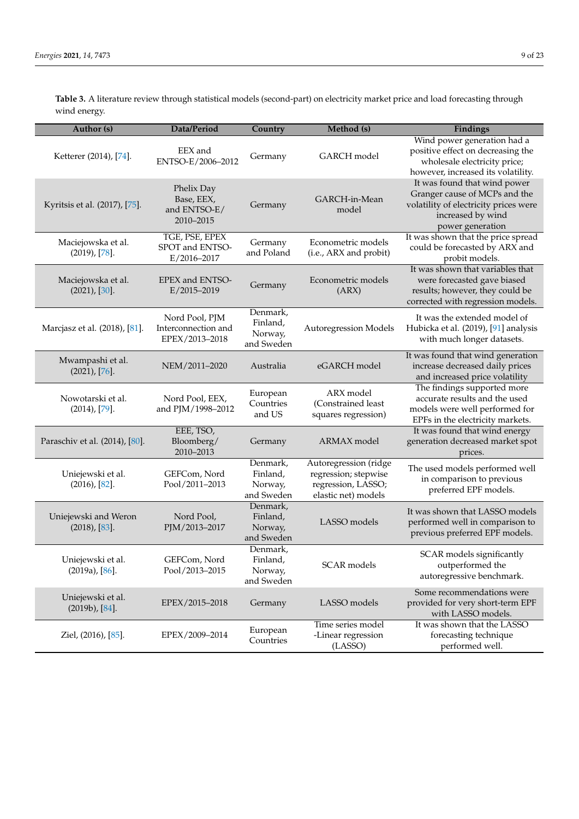**Table 3.** A literature review through statistical models (second-part) on electricity market price and load forecasting through wind energy.

| Author (s)                                | Data/Period                                             | Country                                       | Method (s)                                                                                 | Findings                                                                                                                                        |
|-------------------------------------------|---------------------------------------------------------|-----------------------------------------------|--------------------------------------------------------------------------------------------|-------------------------------------------------------------------------------------------------------------------------------------------------|
| Ketterer (2014), [74].                    | EEX and<br>ENTSO-E/2006-2012                            | Germany                                       | GARCH model                                                                                | Wind power generation had a<br>positive effect on decreasing the<br>wholesale electricity price;<br>however, increased its volatility.          |
| Kyritsis et al. (2017), [75].             | Phelix Day<br>Base, EEX,<br>and ENTSO-E/<br>2010-2015   | Germany                                       | GARCH-in-Mean<br>model                                                                     | It was found that wind power<br>Granger cause of MCPs and the<br>volatility of electricity prices were<br>increased by wind<br>power generation |
| Maciejowska et al.<br>$(2019)$ , [78].    | TGE, PSE, EPEX<br>SPOT and ENTSO-<br>$E/2016 - 2017$    | Germany<br>and Poland                         | Econometric models<br>(i.e., ARX and probit)                                               | It was shown that the price spread<br>could be forecasted by ARX and<br>probit models.                                                          |
| Maciejowska et al.<br>(2021), [30].       | EPEX and ENTSO-<br>E/2015-2019                          | Germany                                       | Econometric models<br>(ARX)                                                                | It was shown that variables that<br>were forecasted gave biased<br>results; however, they could be<br>corrected with regression models.         |
| Marcjasz et al. (2018), [81].             | Nord Pool, PJM<br>Interconnection and<br>EPEX/2013-2018 | Denmark,<br>Finland,<br>Norway,<br>and Sweden | Autoregression Models                                                                      | It was the extended model of<br>Hubicka et al. (2019), [91] analysis<br>with much longer datasets.                                              |
| Mwampashi et al.<br>(2021), [76].         | NEM/2011-2020                                           | Australia                                     | eGARCH model                                                                               | It was found that wind generation<br>increase decreased daily prices<br>and increased price volatility                                          |
| Nowotarski et al.<br>$(2014)$ , [79].     | Nord Pool, EEX,<br>and PJM/1998-2012                    | European<br>Countries<br>and US               | ARX model<br>(Constrained least<br>squares regression)                                     | The findings supported more<br>accurate results and the used<br>models were well performed for<br>EPFs in the electricity markets.              |
| Paraschiv et al. (2014), [80].            | EEE, TSO,<br>Bloomberg/<br>2010-2013                    | Germany                                       | ARMAX model                                                                                | It was found that wind energy<br>generation decreased market spot<br>prices.                                                                    |
| Uniejewski et al.<br>$(2016)$ , $[82]$ .  | GEFCom, Nord<br>Pool/2011-2013                          | Denmark,<br>Finland,<br>Norway,<br>and Sweden | Autoregression (ridge<br>regression; stepwise<br>regression, LASSO;<br>elastic net) models | The used models performed well<br>in comparison to previous<br>preferred EPF models.                                                            |
| Uniejewski and Weron<br>(2018), [83].     | Nord Pool,<br>PJM/2013-2017                             | Denmark,<br>Finland,<br>Norway,<br>and Sweden | LASSO models                                                                               | It was shown that LASSO models<br>performed well in comparison to<br>previous preferred EPF models.                                             |
| Uniejewski et al.<br>$(2019a)$ , $[86]$ . | GEFCom, Nord<br>Pool/2013-2015                          | Denmark,<br>Finland,<br>Norway,<br>and Sweden | SCAR models                                                                                | SCAR models significantly<br>outperformed the<br>autoregressive benchmark.                                                                      |
| Uniejewski et al.<br>$(2019b)$ , $[84]$ . | EPEX/2015-2018                                          | Germany                                       | LASSO models                                                                               | Some recommendations were<br>provided for very short-term EPF<br>with LASSO models.                                                             |
| Ziel, (2016), [85].                       | EPEX/2009-2014                                          | European<br>Countries                         | Time series model<br>-Linear regression<br>(LASSO)                                         | It was shown that the LASSO<br>forecasting technique<br>performed well.                                                                         |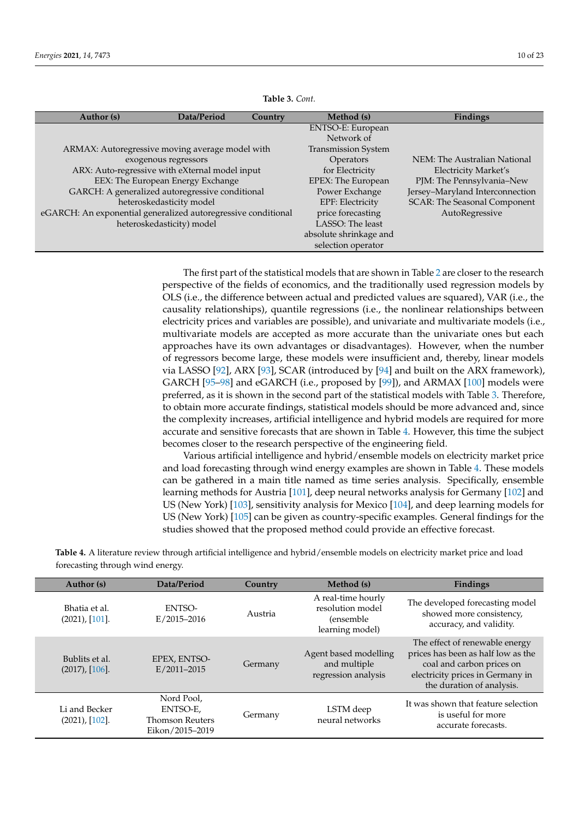<span id="page-9-0"></span>

| Author (s)                                                    | Data/Period               | Country | Method (s)                 | Findings                            |
|---------------------------------------------------------------|---------------------------|---------|----------------------------|-------------------------------------|
|                                                               |                           |         | ENTSO-E: European          |                                     |
|                                                               |                           |         | Network of                 |                                     |
| ARMAX: Autoregressive moving average model with               |                           |         | <b>Transmission System</b> |                                     |
|                                                               | exogenous regressors      |         | Operators                  | NEM: The Australian National        |
| ARX: Auto-regressive with eXternal model input                |                           |         | for Electricity            | <b>Electricity Market's</b>         |
| EEX: The European Energy Exchange                             |                           |         | EPEX: The European         | PJM: The Pennsylvania-New           |
| GARCH: A generalized autoregressive conditional               |                           |         | Power Exchange             | Jersey-Maryland Interconnection     |
|                                                               | heteroskedasticity model  |         | EPF: Electricity           | <b>SCAR: The Seasonal Component</b> |
| eGARCH: An exponential generalized autoregressive conditional |                           |         | price forecasting          | AutoRegressive                      |
|                                                               | heteroskedasticity) model |         | LASSO: The least           |                                     |
|                                                               |                           |         | absolute shrinkage and     |                                     |
|                                                               |                           |         | selection operator         |                                     |

**Table 3.** *Cont.*

The first part of the statistical models that are shown in Table [2](#page-7-0) are closer to the research perspective of the fields of economics, and the traditionally used regression models by OLS (i.e., the difference between actual and predicted values are squared), VAR (i.e., the causality relationships), quantile regressions (i.e., the nonlinear relationships between electricity prices and variables are possible), and univariate and multivariate models (i.e., multivariate models are accepted as more accurate than the univariate ones but each approaches have its own advantages or disadvantages). However, when the number of regressors become large, these models were insufficient and, thereby, linear models via LASSO [\[92\]](#page-19-28), ARX [\[93\]](#page-19-29), SCAR (introduced by [\[94\]](#page-20-0) and built on the ARX framework), GARCH [\[95–](#page-20-1)[98\]](#page-20-2) and eGARCH (i.e., proposed by [\[99\]](#page-20-3)), and ARMAX [\[100\]](#page-20-4) models were preferred, as it is shown in the second part of the statistical models with Table [3.](#page-9-0) Therefore, to obtain more accurate findings, statistical models should be more advanced and, since the complexity increases, artificial intelligence and hybrid models are required for more accurate and sensitive forecasts that are shown in Table [4.](#page-10-0) However, this time the subject becomes closer to the research perspective of the engineering field.

Various artificial intelligence and hybrid/ensemble models on electricity market price and load forecasting through wind energy examples are shown in Table [4.](#page-10-0) These models can be gathered in a main title named as time series analysis. Specifically, ensemble learning methods for Austria [\[101\]](#page-20-5), deep neural networks analysis for Germany [\[102\]](#page-20-6) and US (New York) [\[103\]](#page-20-7), sensitivity analysis for Mexico [\[104\]](#page-20-8), and deep learning models for US (New York) [\[105\]](#page-20-9) can be given as country-specific examples. General findings for the studies showed that the proposed method could provide an effective forecast.

**Table 4.** A literature review through artificial intelligence and hybrid/ensemble models on electricity market price and load forecasting through wind energy.

| Author (s)                       | Data/Period                                                         | Country | Method (s)                                                                     | Findings                                                                                                                                                           |
|----------------------------------|---------------------------------------------------------------------|---------|--------------------------------------------------------------------------------|--------------------------------------------------------------------------------------------------------------------------------------------------------------------|
| Bhatia et al.<br>(2021), [101].  | ENTSO-<br>$E/2015 - 2016$                                           | Austria | A real-time hourly<br>resolution model<br><i>(ensemble)</i><br>learning model) | The developed forecasting model<br>showed more consistency,<br>accuracy, and validity.                                                                             |
| Bublits et al.<br>(2017), [106]. | EPEX, ENTSO-<br>$E/2011 - 2015$                                     | Germany | Agent based modelling<br>and multiple<br>regression analysis                   | The effect of renewable energy<br>prices has been as half low as the<br>coal and carbon prices on<br>electricity prices in Germany in<br>the duration of analysis. |
| Li and Becker<br>(2021), [102].  | Nord Pool,<br>ENTSO-E,<br><b>Thomson Reuters</b><br>Eikon/2015-2019 | Germany | LSTM deep<br>neural networks                                                   | It was shown that feature selection<br>is useful for more<br>accurate forecasts.                                                                                   |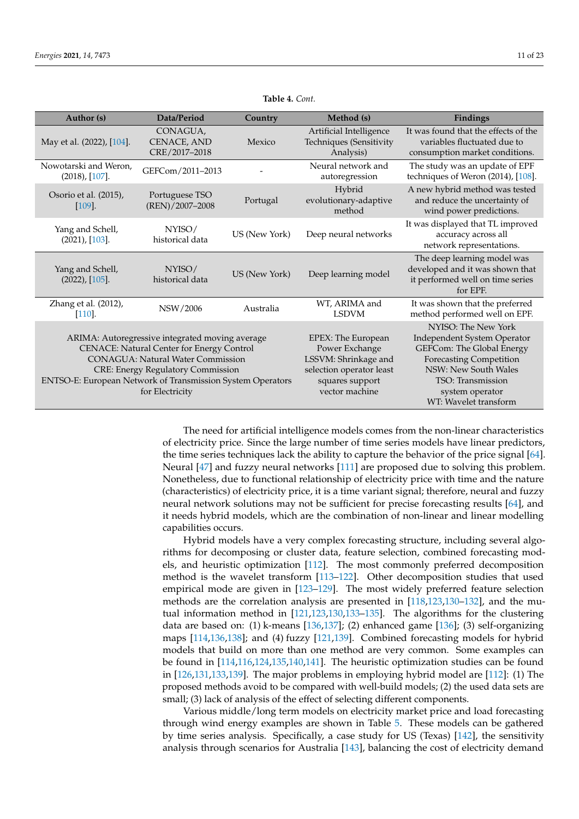<span id="page-10-0"></span>

| Author (s)                                                                                                                                                                                                                                                            | Data/Period                              | Country       | Method (s)                                                                                                                    | Findings                                                                                                                                                                                                   |
|-----------------------------------------------------------------------------------------------------------------------------------------------------------------------------------------------------------------------------------------------------------------------|------------------------------------------|---------------|-------------------------------------------------------------------------------------------------------------------------------|------------------------------------------------------------------------------------------------------------------------------------------------------------------------------------------------------------|
| May et al. (2022), [104].                                                                                                                                                                                                                                             | CONAGUA,<br>CENACE, AND<br>CRE/2017-2018 | Mexico        | Artificial Intelligence<br>Techniques (Sensitivity<br>Analysis)                                                               | It was found that the effects of the<br>variables fluctuated due to<br>consumption market conditions.                                                                                                      |
| Nowotarski and Weron,<br>(2018), [107].                                                                                                                                                                                                                               | GEFCom/2011-2013                         |               | Neural network and<br>autoregression                                                                                          | The study was an update of EPF<br>techniques of Weron (2014), [108].                                                                                                                                       |
| Osorio et al. (2015),<br>$[109]$ .                                                                                                                                                                                                                                    | Portuguese TSO<br>(REN)/2007-2008        | Portugal      | Hybrid<br>evolutionary-adaptive<br>method                                                                                     | A new hybrid method was tested<br>and reduce the uncertainty of<br>wind power predictions.                                                                                                                 |
| Yang and Schell,<br>(2021), [103].                                                                                                                                                                                                                                    | NYISO/<br>historical data                | US (New York) | Deep neural networks                                                                                                          | It was displayed that TL improved<br>accuracy across all<br>network representations.                                                                                                                       |
| Yang and Schell,<br>(2022), [105].                                                                                                                                                                                                                                    | NYISO/<br>historical data                | US (New York) | Deep learning model                                                                                                           | The deep learning model was<br>developed and it was shown that<br>it performed well on time series<br>for EPF.                                                                                             |
| Zhang et al. (2012),<br>$[110].$                                                                                                                                                                                                                                      | NSW/2006                                 | Australia     | WT, ARIMA and<br><b>LSDVM</b>                                                                                                 | It was shown that the preferred<br>method performed well on EPF.                                                                                                                                           |
| ARIMA: Autoregressive integrated moving average<br>CENACE: Natural Center for Energy Control<br><b>CONAGUA: Natural Water Commission</b><br><b>CRE: Energy Regulatory Commission</b><br>ENTSO-E: European Network of Transmission System Operators<br>for Electricity |                                          |               | EPEX: The European<br>Power Exchange<br>LSSVM: Shrinkage and<br>selection operator least<br>squares support<br>vector machine | NYISO: The New York<br>Independent System Operator<br>GEFCom: The Global Energy<br><b>Forecasting Competition</b><br>NSW: New South Wales<br>TSO: Transmission<br>system operator<br>WT: Wavelet transform |

**Table 4.** *Cont.*

The need for artificial intelligence models comes from the non-linear characteristics of electricity price. Since the large number of time series models have linear predictors, the time series techniques lack the ability to capture the behavior of the price signal [\[64\]](#page-19-0). Neural [\[47\]](#page-18-14) and fuzzy neural networks [\[111\]](#page-20-15) are proposed due to solving this problem. Nonetheless, due to functional relationship of electricity price with time and the nature (characteristics) of electricity price, it is a time variant signal; therefore, neural and fuzzy neural network solutions may not be sufficient for precise forecasting results [\[64\]](#page-19-0), and it needs hybrid models, which are the combination of non-linear and linear modelling capabilities occurs.

Hybrid models have a very complex forecasting structure, including several algorithms for decomposing or cluster data, feature selection, combined forecasting models, and heuristic optimization [\[112\]](#page-20-16). The most commonly preferred decomposition method is the wavelet transform [\[113](#page-20-17)[–122\]](#page-20-18). Other decomposition studies that used empirical mode are given in [\[123–](#page-21-0)[129\]](#page-21-1). The most widely preferred feature selection methods are the correlation analysis are presented in [\[118](#page-20-19)[,123](#page-21-0)[,130](#page-21-2)[–132\]](#page-21-3), and the mutual information method in [\[121,](#page-20-20)[123,](#page-21-0)[130,](#page-21-2)[133](#page-21-4)[–135\]](#page-21-5). The algorithms for the clustering data are based on: (1) k-means [\[136](#page-21-6)[,137\]](#page-21-7); (2) enhanced game [\[136\]](#page-21-6); (3) self-organizing maps [\[114](#page-20-21)[,136](#page-21-6)[,138\]](#page-21-8); and (4) fuzzy [\[121,](#page-20-20)[139\]](#page-21-9). Combined forecasting models for hybrid models that build on more than one method are very common. Some examples can be found in [\[114](#page-20-21)[,116](#page-20-22)[,124](#page-21-10)[,135](#page-21-5)[,140](#page-21-11)[,141\]](#page-21-12). The heuristic optimization studies can be found in [\[126](#page-21-13)[,131](#page-21-14)[,133](#page-21-4)[,139\]](#page-21-9). The major problems in employing hybrid model are [\[112\]](#page-20-16): (1) The proposed methods avoid to be compared with well-build models; (2) the used data sets are small; (3) lack of analysis of the effect of selecting different components.

Various middle/long term models on electricity market price and load forecasting through wind energy examples are shown in Table [5.](#page-12-0) These models can be gathered by time series analysis. Specifically, a case study for US (Texas) [\[142\]](#page-21-15), the sensitivity analysis through scenarios for Australia [\[143\]](#page-21-16), balancing the cost of electricity demand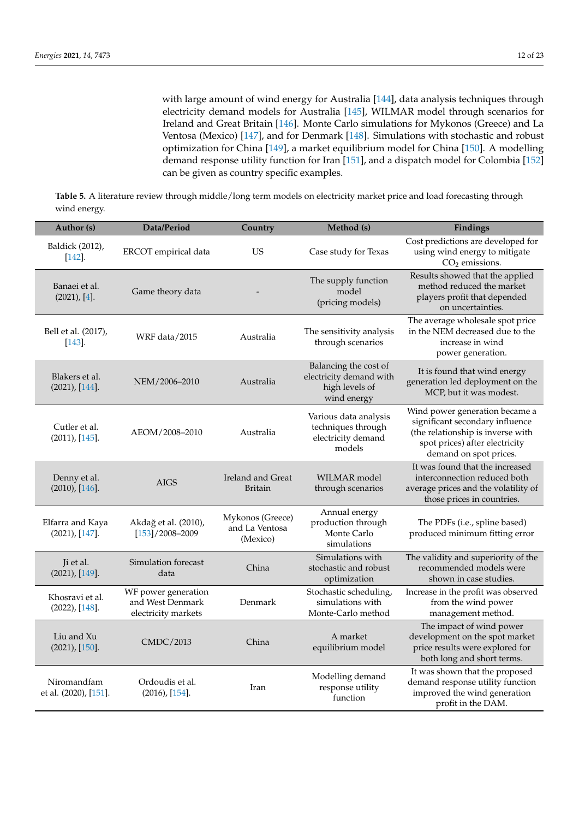with large amount of wind energy for Australia [\[144\]](#page-21-17), data analysis techniques through electricity demand models for Australia [\[145\]](#page-21-18), WILMAR model through scenarios for Ireland and Great Britain [\[146\]](#page-21-19). Monte Carlo simulations for Mykonos (Greece) and La Ventosa (Mexico) [\[147\]](#page-21-20), and for Denmark [\[148\]](#page-21-21). Simulations with stochastic and robust optimization for China [\[149\]](#page-21-22), a market equilibrium model for China [\[150\]](#page-22-0). A modelling demand response utility function for Iran [\[151\]](#page-22-1), and a dispatch model for Colombia [\[152\]](#page-22-2) can be given as country specific examples.

**Table 5.** A literature review through middle/long term models on electricity market price and load forecasting through wind energy.

| Author (s)                                  | Data/Period                                                    | Country                                        | Method (s)                                                                        | Findings                                                                                                                                                           |
|---------------------------------------------|----------------------------------------------------------------|------------------------------------------------|-----------------------------------------------------------------------------------|--------------------------------------------------------------------------------------------------------------------------------------------------------------------|
| Baldick (2012),<br>$[142]$                  | ERCOT empirical data                                           | <b>US</b>                                      | Case study for Texas                                                              | Cost predictions are developed for<br>using wind energy to mitigate<br>$CO2$ emissions.                                                                            |
| Banaei et al.<br>(2021), [4].               | Game theory data                                               |                                                | The supply function<br>model<br>(pricing models)                                  | Results showed that the applied<br>method reduced the market<br>players profit that depended<br>on uncertainties.                                                  |
| Bell et al. (2017),<br>$\left[143\right]$ . | WRF data/2015                                                  | Australia                                      | The sensitivity analysis<br>through scenarios                                     | The average wholesale spot price<br>in the NEM decreased due to the<br>increase in wind<br>power generation.                                                       |
| Blakers et al.<br>(2021), [144].            | NEM/2006-2010                                                  | Australia                                      | Balancing the cost of<br>electricity demand with<br>high levels of<br>wind energy | It is found that wind energy<br>generation led deployment on the<br>MCP, but it was modest.                                                                        |
| Cutler et al.<br>(2011), [145].             | AEOM/2008-2010                                                 | Australia                                      | Various data analysis<br>techniques through<br>electricity demand<br>models       | Wind power generation became a<br>significant secondary influence<br>(the relationship is inverse with<br>spot prices) after electricity<br>demand on spot prices. |
| Denny et al.<br>(2010), [146].              | <b>AIGS</b>                                                    | Ireland and Great<br><b>Britain</b>            | WILMAR model<br>through scenarios                                                 | It was found that the increased<br>interconnection reduced both<br>average prices and the volatility of<br>those prices in countries.                              |
| Elfarra and Kaya<br>(2021), [147].          | Akdağ et al. (2010),<br>$[153]/2008 - 2009$                    | Mykonos (Greece)<br>and La Ventosa<br>(Mexico) | Annual energy<br>production through<br>Monte Carlo<br>simulations                 | The PDFs (i.e., spline based)<br>produced minimum fitting error                                                                                                    |
| Ji et al.<br>(2021), [149].                 | Simulation forecast<br>data                                    | China                                          | Simulations with<br>stochastic and robust<br>optimization                         | The validity and superiority of the<br>recommended models were<br>shown in case studies.                                                                           |
| Khosravi et al.<br>(2022), [148].           | WF power generation<br>and West Denmark<br>electricity markets | Denmark                                        | Stochastic scheduling,<br>simulations with<br>Monte-Carlo method                  | Increase in the profit was observed<br>from the wind power<br>management method.                                                                                   |
| Liu and Xu<br>(2021), [150].                | CMDC/2013                                                      | China                                          | A market<br>equilibrium model                                                     | The impact of wind power<br>development on the spot market<br>price results were explored for<br>both long and short terms.                                        |
| Niromandfam<br>et al. (2020), [151].        | Ordoudis et al.<br>$(2016)$ , [154].                           | Iran                                           | Modelling demand<br>response utility<br>function                                  | It was shown that the proposed<br>demand response utility function<br>improved the wind generation<br>profit in the DAM.                                           |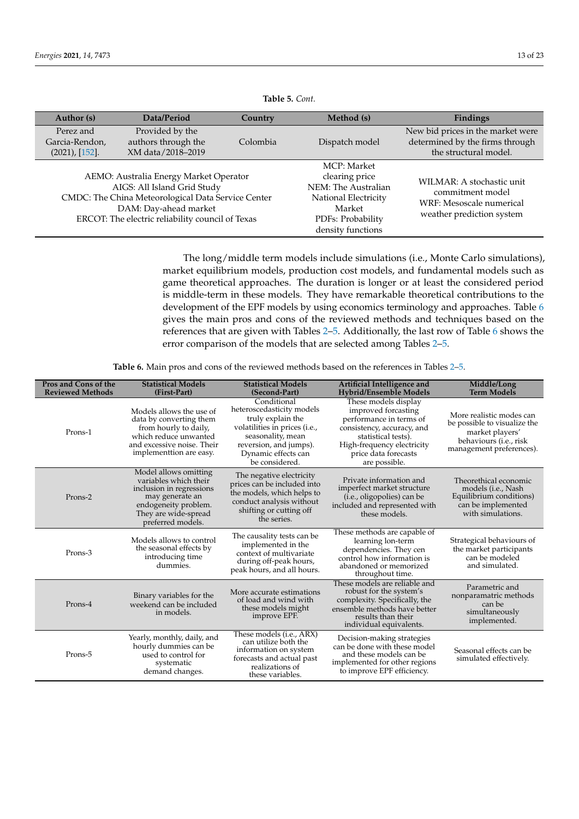<span id="page-12-0"></span>

| Author (s)                                    | Data/Period                                                                                                                                                                                              | Country  | Method (s)                                                                                                                       | Findings                                                                                               |
|-----------------------------------------------|----------------------------------------------------------------------------------------------------------------------------------------------------------------------------------------------------------|----------|----------------------------------------------------------------------------------------------------------------------------------|--------------------------------------------------------------------------------------------------------|
| Perez and<br>Garcia-Rendon,<br>(2021), [152]. | Provided by the<br>authors through the<br>XM data/2018-2019                                                                                                                                              | Colombia | Dispatch model                                                                                                                   | New bid prices in the market were<br>determined by the firms through<br>the structural model.          |
|                                               | AEMO: Australia Energy Market Operator<br>AIGS: All Island Grid Study<br>CMDC: The China Meteorological Data Service Center<br>DAM: Day-ahead market<br>ERCOT: The electric reliability council of Texas |          | MCP: Market<br>clearing price<br>NEM: The Australian<br>National Electricity<br>Market<br>PDFs: Probability<br>density functions | WILMAR: A stochastic unit<br>commitment model<br>WRF: Mesoscale numerical<br>weather prediction system |

**Table 5.** *Cont.*

The long/middle term models include simulations (i.e., Monte Carlo simulations), market equilibrium models, production cost models, and fundamental models such as game theoretical approaches. The duration is longer or at least the considered period is middle-term in these models. They have remarkable theoretical contributions to the development of the EPF models by using economics terminology and approaches. Table [6](#page-13-1) gives the main pros and cons of the reviewed methods and techniques based on the references that are given with Tables [2](#page-7-0)[–5.](#page-12-0) Additionally, the last row of Table [6](#page-13-1) shows the error comparison of the models that are selected among Tables [2–](#page-7-0)[5.](#page-12-0)

**Table 6.** Main pros and cons of the reviewed methods based on the references in Tables [2–](#page-7-0)[5.](#page-12-0)

| Pros and Cons of the<br><b>Reviewed Methods</b> | <b>Statistical Models</b><br>(First-Part)                                                                                                                          | <b>Statistical Models</b><br>(Second-Part)                                                                                                                                             | Artificial Intelligence and<br><b>Hybrid/Ensemble Models</b>                                                                                                                                       | Middle/Long<br><b>Term Models</b>                                                                                                 |
|-------------------------------------------------|--------------------------------------------------------------------------------------------------------------------------------------------------------------------|----------------------------------------------------------------------------------------------------------------------------------------------------------------------------------------|----------------------------------------------------------------------------------------------------------------------------------------------------------------------------------------------------|-----------------------------------------------------------------------------------------------------------------------------------|
| Prons-1                                         | Models allows the use of<br>data by converting them<br>from hourly to daily,<br>which reduce unwanted<br>and excessive noise. Their<br>implementtion are easy.     | Conditional<br>heteroscedasticity models<br>truly explain the<br>volatilities in prices (i.e.,<br>seasonality, mean<br>reversion, and jumps).<br>Dynamic effects can<br>be considered. | These models display<br>improved forcasting<br>performance in terms of<br>consistency, accuracy, and<br>statistical tests).<br>High-frequency electricity<br>price data forecasts<br>are possible. | More realistic modes can<br>be possible to visualize the<br>market players'<br>behaviours (i.e., risk<br>management preferences). |
| Prons-2                                         | Model allows omitting<br>variables which their<br>inclusion in regressions<br>may generate an<br>endogeneity problem.<br>They are wide-spread<br>preferred models. | The negative electricity<br>prices can be included into<br>the models, which helps to<br>conduct analysis without<br>shifting or cutting off<br>the series.                            | Private information and<br>imperfect market structure<br>(i.e., oligopolies) can be<br>included and represented with<br>these models.                                                              | Theorethical economic<br>models ( <i>i.e.</i> , Nash<br>Equilibrium conditions)<br>can be implemented<br>with simulations.        |
| Prons-3                                         | Models allows to control<br>the seasonal effects by<br>introducing time<br>dummies.                                                                                | The causality tests can be<br>implemented in the<br>context of multivariate<br>during off-peak hours,<br>peak hours, and all hours.                                                    | These methods are capable of<br>learning lon-term<br>dependencies. They cen<br>control how information is<br>abandoned or memorized<br>throughout time.                                            | Strategical behaviours of<br>the market participants<br>can be modeled<br>and simulated.                                          |
| Prons-4                                         | Binary variables for the<br>weekend can be included<br>in models.                                                                                                  | More accurate estimations<br>of load and wind with<br>these models might<br>improve EPF.                                                                                               | These models are reliable and<br>robust for the system's<br>complexity. Specifically, the<br>ensemble methods have better<br>results than their<br>individual equivalents.                         | Parametric and<br>nonparamatric methods<br>can be<br>simultaneously<br>implemented.                                               |
| Prons-5                                         | Yearly, monthly, daily, and<br>hourly dummies can be<br>used to control for<br>systematic<br>demand changes.                                                       | These models (i.e., ARX)<br>can utilize both the<br>information on system<br>forecasts and actual past<br>realizations of<br>these variables.                                          | Decision-making strategies<br>can be done with these model<br>and these models can be<br>implemented for other regions<br>to improve EPF efficiency.                                               | Seasonal effects can be<br>simulated effectively.                                                                                 |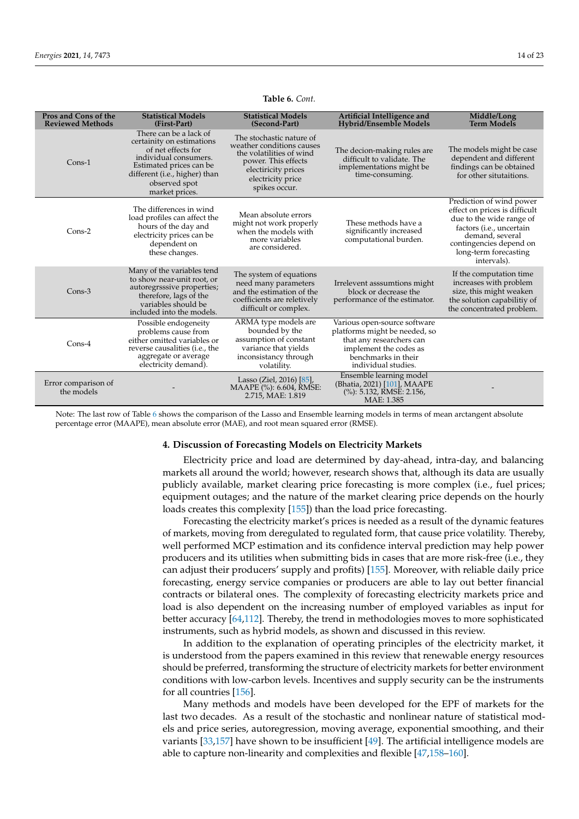<span id="page-13-1"></span>

| Pros and Cons of the<br><b>Reviewed Methods</b> | <b>Statistical Models</b><br>(First-Part)                                                                                                                                                         | <b>Statistical Models</b><br>(Second-Part)                                                                                                                            | Artificial Intelligence and<br><b>Hybrid/Ensemble Models</b>                                                                                                      | Middle/Long<br><b>Term Models</b>                                                                                                                                                                       |
|-------------------------------------------------|---------------------------------------------------------------------------------------------------------------------------------------------------------------------------------------------------|-----------------------------------------------------------------------------------------------------------------------------------------------------------------------|-------------------------------------------------------------------------------------------------------------------------------------------------------------------|---------------------------------------------------------------------------------------------------------------------------------------------------------------------------------------------------------|
| $Cons-1$                                        | There can be a lack of<br>certainity on estimations<br>of net effects for<br>individual consumers.<br>Estimated prices can be<br>different (i.e., higher) than<br>observed spot<br>market prices. | The stochastic nature of<br>weather conditions causes<br>the volatilities of wind<br>power. This effects<br>electiricity prices<br>electricity price<br>spikes occur. | The decion-making rules are<br>difficult to validate. The<br>implementations might be<br>time-consuming.                                                          | The models might be case<br>dependent and different<br>findings can be obtained<br>for other situtaitions.                                                                                              |
| $Cons-2$                                        | The differences in wind<br>load profiles can affect the<br>hours of the day and<br>electricity prices can be<br>dependent on<br>these changes.                                                    | Mean absolute errors<br>might not work properly<br>when the models with<br>more variables<br>are considered.                                                          | These methods have a<br>significantly increased<br>computational burden.                                                                                          | Prediction of wind power<br>effect on prices is difficult<br>due to the wide range of<br>factors (i.e., uncertain<br>demand, several<br>contingencies depend on<br>long-term forecasting<br>intervals). |
| $Cons-3$                                        | Many of the variables tend<br>to show near-unit root, or<br>autoregrsssive properties;<br>therefore, lags of the<br>variables should be<br>included into the models.                              | The system of equations<br>need many parameters<br>and the estimation of the<br>coefficients are reletively<br>difficult or complex.                                  | Irrelevent asssumtions might<br>block or decrease the<br>performance of the estimator.                                                                            | If the computation time<br>increases with problem<br>size, this might weaken<br>the solution capabilitiy of<br>the concentrated problem.                                                                |
| $Cons-4$                                        | Possible endogeneity<br>problems cause from<br>either omitted variables or<br>reverse causalities (i.e., the<br>aggregate or average<br>electricity demand).                                      | ARMA type models are<br>bounded by the<br>assumption of constant<br>variance that yields<br>inconsistancy through<br>volatility.                                      | Various open-source software<br>platforms might be needed, so<br>that any researchers can<br>implement the codes as<br>benchmarks in their<br>individual studies. |                                                                                                                                                                                                         |
| Error comparison of<br>the models               |                                                                                                                                                                                                   | Lasso (Ziel, 2016) [85],<br>MAAPE (%): 6.604, RMSE:<br>2.715, MAE: 1.819                                                                                              | Ensemble learning model<br>(Bhatia, 2021) [101], MAAPE<br>(%): 5.132, RMSE: 2.156,<br>MAE: 1.385                                                                  |                                                                                                                                                                                                         |

## **Table 6.** *Cont.*

Note: The last row of Table [6](#page-13-1) shows the comparison of the Lasso and Ensemble learning models in terms of mean arctangent absolute percentage error (MAAPE), mean absolute error (MAE), and root mean squared error (RMSE).

# <span id="page-13-0"></span>**4. Discussion of Forecasting Models on Electricity Markets**

Electricity price and load are determined by day-ahead, intra-day, and balancing markets all around the world; however, research shows that, although its data are usually publicly available, market clearing price forecasting is more complex (i.e., fuel prices; equipment outages; and the nature of the market clearing price depends on the hourly loads creates this complexity [\[155\]](#page-22-5)) than the load price forecasting.

Forecasting the electricity market's prices is needed as a result of the dynamic features of markets, moving from deregulated to regulated form, that cause price volatility. Thereby, well performed MCP estimation and its confidence interval prediction may help power producers and its utilities when submitting bids in cases that are more risk-free (i.e., they can adjust their producers' supply and profits) [\[155\]](#page-22-5). Moreover, with reliable daily price forecasting, energy service companies or producers are able to lay out better financial contracts or bilateral ones. The complexity of forecasting electricity markets price and load is also dependent on the increasing number of employed variables as input for better accuracy [\[64](#page-19-0)[,112\]](#page-20-16). Thereby, the trend in methodologies moves to more sophisticated instruments, such as hybrid models, as shown and discussed in this review.

In addition to the explanation of operating principles of the electricity market, it is understood from the papers examined in this review that renewable energy resources should be preferred, transforming the structure of electricity markets for better environment conditions with low-carbon levels. Incentives and supply security can be the instruments for all countries [\[156\]](#page-22-6).

Many methods and models have been developed for the EPF of markets for the last two decades. As a result of the stochastic and nonlinear nature of statistical models and price series, autoregression, moving average, exponential smoothing, and their variants [\[33](#page-18-0)[,157\]](#page-22-7) have shown to be insufficient [\[49\]](#page-18-16). The artificial intelligence models are able to capture non-linearity and complexities and flexible [\[47,](#page-18-14)[158–](#page-22-8)[160\]](#page-22-9).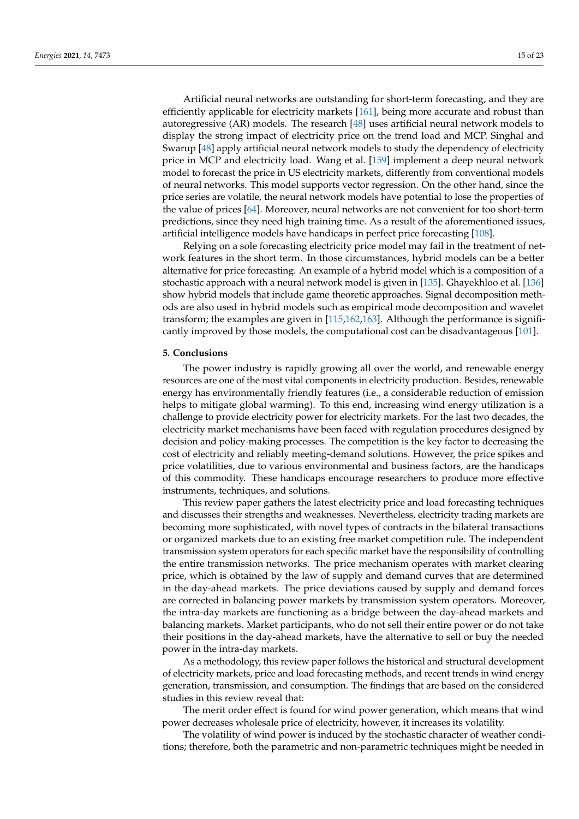Artificial neural networks are outstanding for short-term forecasting, and they are efficiently applicable for electricity markets [\[161\]](#page-22-10), being more accurate and robust than autoregressive (AR) models. The research [\[48\]](#page-18-15) uses artificial neural network models to display the strong impact of electricity price on the trend load and MCP. Singhal and Swarup [\[48\]](#page-18-15) apply artificial neural network models to study the dependency of electricity price in MCP and electricity load. Wang et al. [\[159\]](#page-22-11) implement a deep neural network model to forecast the price in US electricity markets, differently from conventional models of neural networks. This model supports vector regression. On the other hand, since the price series are volatile, the neural network models have potential to lose the properties of the value of prices [\[64\]](#page-19-0). Moreover, neural networks are not convenient for too short-term predictions, since they need high training time. As a result of the aforementioned issues, artificial intelligence models have handicaps in perfect price forecasting [\[108\]](#page-20-12).

Relying on a sole forecasting electricity price model may fail in the treatment of network features in the short term. In those circumstances, hybrid models can be a better alternative for price forecasting. An example of a hybrid model which is a composition of a stochastic approach with a neural network model is given in [\[135\]](#page-21-5). Ghayekhloo et al. [\[136\]](#page-21-6) show hybrid models that include game theoretic approaches. Signal decomposition methods are also used in hybrid models such as empirical mode decomposition and wavelet transform; the examples are given in [\[115](#page-20-23)[,162](#page-22-12)[,163\]](#page-22-13). Although the performance is significantly improved by those models, the computational cost can be disadvantageous [\[101\]](#page-20-5).

# **5. Conclusions**

The power industry is rapidly growing all over the world, and renewable energy resources are one of the most vital components in electricity production. Besides, renewable energy has environmentally friendly features (i.e., a considerable reduction of emission helps to mitigate global warming). To this end, increasing wind energy utilization is a challenge to provide electricity power for electricity markets. For the last two decades, the electricity market mechanisms have been faced with regulation procedures designed by decision and policy-making processes. The competition is the key factor to decreasing the cost of electricity and reliably meeting-demand solutions. However, the price spikes and price volatilities, due to various environmental and business factors, are the handicaps of this commodity. These handicaps encourage researchers to produce more effective instruments, techniques, and solutions.

This review paper gathers the latest electricity price and load forecasting techniques and discusses their strengths and weaknesses. Nevertheless, electricity trading markets are becoming more sophisticated, with novel types of contracts in the bilateral transactions or organized markets due to an existing free market competition rule. The independent transmission system operators for each specific market have the responsibility of controlling the entire transmission networks. The price mechanism operates with market clearing price, which is obtained by the law of supply and demand curves that are determined in the day-ahead markets. The price deviations caused by supply and demand forces are corrected in balancing power markets by transmission system operators. Moreover, the intra-day markets are functioning as a bridge between the day-ahead markets and balancing markets. Market participants, who do not sell their entire power or do not take their positions in the day-ahead markets, have the alternative to sell or buy the needed power in the intra-day markets.

As a methodology, this review paper follows the historical and structural development of electricity markets, price and load forecasting methods, and recent trends in wind energy generation, transmission, and consumption. The findings that are based on the considered studies in this review reveal that:

The merit order effect is found for wind power generation, which means that wind power decreases wholesale price of electricity, however, it increases its volatility.

The volatility of wind power is induced by the stochastic character of weather conditions; therefore, both the parametric and non-parametric techniques might be needed in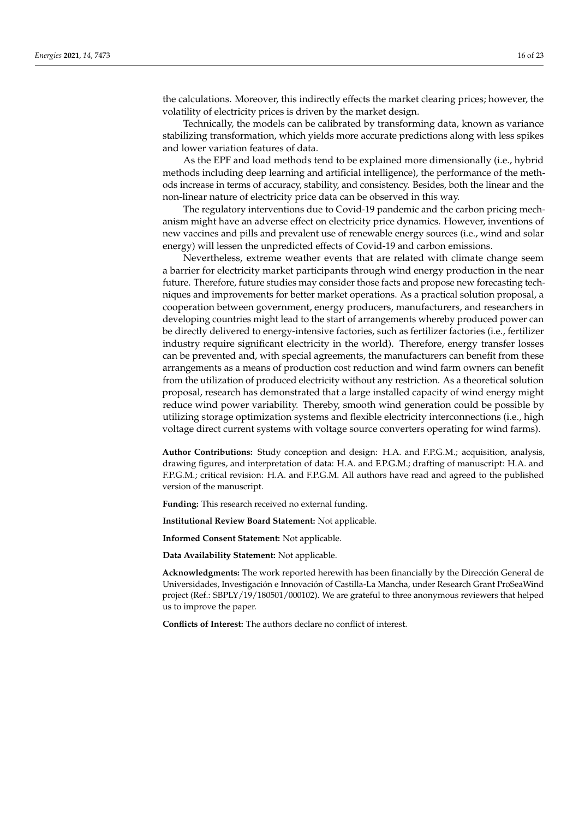the calculations. Moreover, this indirectly effects the market clearing prices; however, the volatility of electricity prices is driven by the market design.

Technically, the models can be calibrated by transforming data, known as variance stabilizing transformation, which yields more accurate predictions along with less spikes and lower variation features of data.

As the EPF and load methods tend to be explained more dimensionally (i.e., hybrid methods including deep learning and artificial intelligence), the performance of the methods increase in terms of accuracy, stability, and consistency. Besides, both the linear and the non-linear nature of electricity price data can be observed in this way.

The regulatory interventions due to Covid-19 pandemic and the carbon pricing mechanism might have an adverse effect on electricity price dynamics. However, inventions of new vaccines and pills and prevalent use of renewable energy sources (i.e., wind and solar energy) will lessen the unpredicted effects of Covid-19 and carbon emissions.

Nevertheless, extreme weather events that are related with climate change seem a barrier for electricity market participants through wind energy production in the near future. Therefore, future studies may consider those facts and propose new forecasting techniques and improvements for better market operations. As a practical solution proposal, a cooperation between government, energy producers, manufacturers, and researchers in developing countries might lead to the start of arrangements whereby produced power can be directly delivered to energy-intensive factories, such as fertilizer factories (i.e., fertilizer industry require significant electricity in the world). Therefore, energy transfer losses can be prevented and, with special agreements, the manufacturers can benefit from these arrangements as a means of production cost reduction and wind farm owners can benefit from the utilization of produced electricity without any restriction. As a theoretical solution proposal, research has demonstrated that a large installed capacity of wind energy might reduce wind power variability. Thereby, smooth wind generation could be possible by utilizing storage optimization systems and flexible electricity interconnections (i.e., high voltage direct current systems with voltage source converters operating for wind farms).

**Author Contributions:** Study conception and design: H.A. and F.P.G.M.; acquisition, analysis, drawing figures, and interpretation of data: H.A. and F.P.G.M.; drafting of manuscript: H.A. and F.P.G.M.; critical revision: H.A. and F.P.G.M. All authors have read and agreed to the published version of the manuscript.

**Funding:** This research received no external funding.

**Institutional Review Board Statement:** Not applicable.

**Informed Consent Statement:** Not applicable.

**Data Availability Statement:** Not applicable.

**Acknowledgments:** The work reported herewith has been financially by the Dirección General de Universidades, Investigación e Innovación of Castilla-La Mancha, under Research Grant ProSeaWind project (Ref.: SBPLY/19/180501/000102). We are grateful to three anonymous reviewers that helped us to improve the paper.

**Conflicts of Interest:** The authors declare no conflict of interest.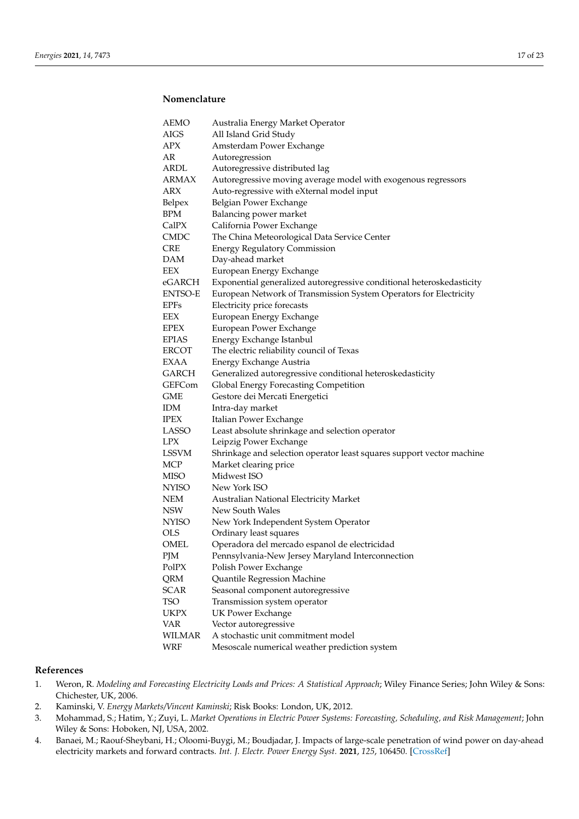# **Nomenclature**

| AEMO          | Australia Energy Market Operator                                      |  |  |  |
|---------------|-----------------------------------------------------------------------|--|--|--|
| AIGS          | All Island Grid Study                                                 |  |  |  |
| APX           | Amsterdam Power Exchange                                              |  |  |  |
| AR            | Autoregression                                                        |  |  |  |
| ARDL          | Autoregressive distributed lag                                        |  |  |  |
| ARMAX         | Autoregressive moving average model with exogenous regressors         |  |  |  |
| ARX           | Auto-regressive with eXternal model input                             |  |  |  |
| Belpex        | Belgian Power Exchange                                                |  |  |  |
| <b>BPM</b>    | Balancing power market                                                |  |  |  |
| CalPX         | California Power Exchange                                             |  |  |  |
| CMDC          | The China Meteorological Data Service Center                          |  |  |  |
| CRE           | <b>Energy Regulatory Commission</b>                                   |  |  |  |
| DAM           | Day-ahead market                                                      |  |  |  |
| EEX           | European Energy Exchange                                              |  |  |  |
| eGARCH        | Exponential generalized autoregressive conditional heteroskedasticity |  |  |  |
| ENTSO-E       | European Network of Transmission System Operators for Electricity     |  |  |  |
| EPFs          | Electricity price forecasts                                           |  |  |  |
| EEX           | European Energy Exchange                                              |  |  |  |
| EPEX          | European Power Exchange                                               |  |  |  |
| EPIAS         | Energy Exchange Istanbul                                              |  |  |  |
| ERCOT         | The electric reliability council of Texas                             |  |  |  |
| EXAA          | Energy Exchange Austria                                               |  |  |  |
| <b>GARCH</b>  | Generalized autoregressive conditional heteroskedasticity             |  |  |  |
| GEFCom        | Global Energy Forecasting Competition                                 |  |  |  |
| <b>GME</b>    | Gestore dei Mercati Energetici                                        |  |  |  |
| <b>IDM</b>    | Intra-day market                                                      |  |  |  |
| <b>IPEX</b>   | Italian Power Exchange                                                |  |  |  |
| LASSO         | Least absolute shrinkage and selection operator                       |  |  |  |
| <b>LPX</b>    | Leipzig Power Exchange                                                |  |  |  |
| LSSVM         | Shrinkage and selection operator least squares support vector machine |  |  |  |
| MCP           | Market clearing price                                                 |  |  |  |
| <b>MISO</b>   | Midwest ISO                                                           |  |  |  |
| NYISO         | New York ISO                                                          |  |  |  |
| NEM           | Australian National Electricity Market                                |  |  |  |
| <b>NSW</b>    | New South Wales                                                       |  |  |  |
| <b>NYISO</b>  | New York Independent System Operator                                  |  |  |  |
| <b>OLS</b>    | Ordinary least squares                                                |  |  |  |
| OMEL          | Operadora del mercado espanol de electricidad                         |  |  |  |
| PJM           | Pennsylvania-New Jersey Maryland Interconnection                      |  |  |  |
| PolPX         | Polish Power Exchange                                                 |  |  |  |
| QRM           | Quantile Regression Machine                                           |  |  |  |
| <b>SCAR</b>   | Seasonal component autoregressive                                     |  |  |  |
| <b>TSO</b>    | Transmission system operator                                          |  |  |  |
| <b>UKPX</b>   | <b>UK Power Exchange</b>                                              |  |  |  |
| <b>VAR</b>    | Vector autoregressive                                                 |  |  |  |
| <b>WILMAR</b> | A stochastic unit commitment model                                    |  |  |  |
| <b>WRF</b>    | Mesoscale numerical weather prediction system                         |  |  |  |

# **References**

- <span id="page-16-0"></span>1. Weron, R. *Modeling and Forecasting Electricity Loads and Prices: A Statistical Approach*; Wiley Finance Series; John Wiley & Sons: Chichester, UK, 2006.
- <span id="page-16-1"></span>2. Kaminski, V. *Energy Markets/Vincent Kaminski*; Risk Books: London, UK, 2012.
- <span id="page-16-2"></span>3. Mohammad, S.; Hatim, Y.; Zuyi, L. *Market Operations in Electric Power Systems: Forecasting, Scheduling, and Risk Management*; John Wiley & Sons: Hoboken, NJ, USA, 2002.
- <span id="page-16-3"></span>4. Banaei, M.; Raouf-Sheybani, H.; Oloomi-Buygi, M.; Boudjadar, J. Impacts of large-scale penetration of wind power on day-ahead electricity markets and forward contracts. *Int. J. Electr. Power Energy Syst.* **2021**, *125*, 106450. [\[CrossRef\]](http://doi.org/10.1016/j.ijepes.2020.106450)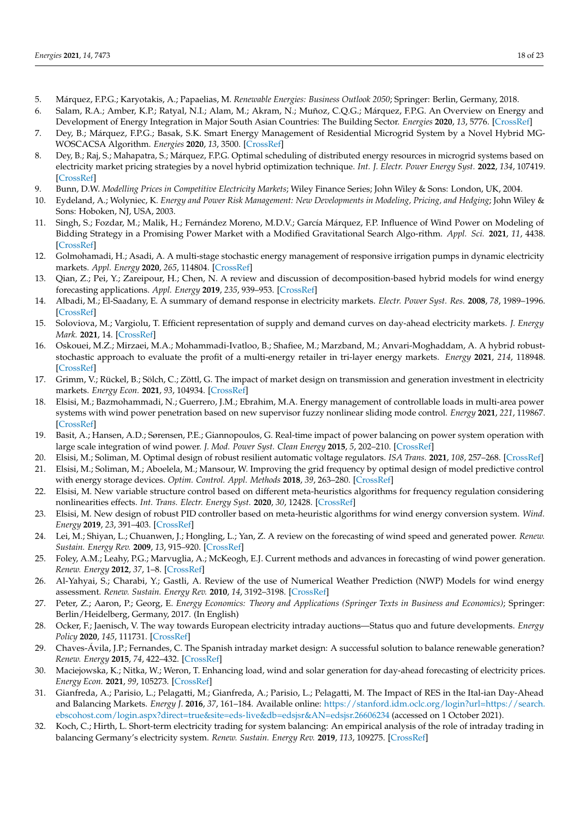- <span id="page-17-0"></span>5. Márquez, F.P.G.; Karyotakis, A.; Papaelias, M. *Renewable Energies: Business Outlook 2050*; Springer: Berlin, Germany, 2018.
- <span id="page-17-1"></span>6. Salam, R.A.; Amber, K.P.; Ratyal, N.I.; Alam, M.; Akram, N.; Muñoz, C.Q.G.; Márquez, F.P.G. An Overview on Energy and Development of Energy Integration in Major South Asian Countries: The Building Sector. *Energies* **2020**, *13*, 5776. [\[CrossRef\]](http://doi.org/10.3390/en13215776)
- <span id="page-17-2"></span>7. Dey, B.; Márquez, F.P.G.; Basak, S.K. Smart Energy Management of Residential Microgrid System by a Novel Hybrid MG-WOSCACSA Algorithm. *Energies* **2020**, *13*, 3500. [\[CrossRef\]](http://doi.org/10.3390/en13133500)
- <span id="page-17-3"></span>8. Dey, B.; Raj, S.; Mahapatra, S.; Márquez, F.P.G. Optimal scheduling of distributed energy resources in microgrid systems based on electricity market pricing strategies by a novel hybrid optimization technique. *Int. J. Electr. Power Energy Syst.* **2022**, *134*, 107419. [\[CrossRef\]](http://doi.org/10.1016/j.ijepes.2021.107419)
- <span id="page-17-4"></span>9. Bunn, D.W. *Modelling Prices in Competitive Electricity Markets*; Wiley Finance Series; John Wiley & Sons: London, UK, 2004.
- <span id="page-17-5"></span>10. Eydeland, A.; Wolyniec, K. *Energy and Power Risk Management: New Developments in Modeling, Pricing, and Hedging*; John Wiley & Sons: Hoboken, NJ, USA, 2003.
- <span id="page-17-6"></span>11. Singh, S.; Fozdar, M.; Malik, H.; Fernández Moreno, M.D.V.; García Márquez, F.P. Influence of Wind Power on Modeling of Bidding Strategy in a Promising Power Market with a Modified Gravitational Search Algo-rithm. *Appl. Sci.* **2021**, *11*, 4438. [\[CrossRef\]](http://doi.org/10.3390/app11104438)
- <span id="page-17-7"></span>12. Golmohamadi, H.; Asadi, A. A multi-stage stochastic energy management of responsive irrigation pumps in dynamic electricity markets. *Appl. Energy* **2020**, *265*, 114804. [\[CrossRef\]](http://doi.org/10.1016/j.apenergy.2020.114804)
- <span id="page-17-8"></span>13. Qian, Z.; Pei, Y.; Zareipour, H.; Chen, N. A review and discussion of decomposition-based hybrid models for wind energy forecasting applications. *Appl. Energy* **2019**, *235*, 939–953. [\[CrossRef\]](http://doi.org/10.1016/j.apenergy.2018.10.080)
- <span id="page-17-9"></span>14. Albadi, M.; El-Saadany, E. A summary of demand response in electricity markets. *Electr. Power Syst. Res.* **2008**, *78*, 1989–1996. [\[CrossRef\]](http://doi.org/10.1016/j.epsr.2008.04.002)
- <span id="page-17-10"></span>15. Soloviova, M.; Vargiolu, T. Efficient representation of supply and demand curves on day-ahead electricity markets. *J. Energy Mark.* **2021**, 14. [\[CrossRef\]](http://doi.org/10.21314/jem.2020.218)
- <span id="page-17-11"></span>16. Oskouei, M.Z.; Mirzaei, M.A.; Mohammadi-Ivatloo, B.; Shafiee, M.; Marzband, M.; Anvari-Moghaddam, A. A hybrid robuststochastic approach to evaluate the profit of a multi-energy retailer in tri-layer energy markets. *Energy* **2021**, *214*, 118948. [\[CrossRef\]](http://doi.org/10.1016/j.energy.2020.118948)
- <span id="page-17-12"></span>17. Grimm, V.; Rückel, B.; Sölch, C.; Zöttl, G. The impact of market design on transmission and generation investment in electricity markets. *Energy Econ.* **2021**, *93*, 104934. [\[CrossRef\]](http://doi.org/10.1016/j.eneco.2020.104934)
- <span id="page-17-13"></span>18. Elsisi, M.; Bazmohammadi, N.; Guerrero, J.M.; Ebrahim, M.A. Energy management of controllable loads in multi-area power systems with wind power penetration based on new supervisor fuzzy nonlinear sliding mode control. *Energy* **2021**, *221*, 119867. [\[CrossRef\]](http://doi.org/10.1016/j.energy.2021.119867)
- <span id="page-17-14"></span>19. Basit, A.; Hansen, A.D.; Sørensen, P.E.; Giannopoulos, G. Real-time impact of power balancing on power system operation with large scale integration of wind power. *J. Mod. Power Syst. Clean Energy* **2015**, *5*, 202–210. [\[CrossRef\]](http://doi.org/10.1007/s40565-015-0163-6)
- <span id="page-17-15"></span>20. Elsisi, M.; Soliman, M. Optimal design of robust resilient automatic voltage regulators. *ISA Trans.* **2021**, *108*, 257–268. [\[CrossRef\]](http://doi.org/10.1016/j.isatra.2020.09.003)
- <span id="page-17-16"></span>21. Elsisi, M.; Soliman, M.; Aboelela, M.; Mansour, W. Improving the grid frequency by optimal design of model predictive control with energy storage devices. *Optim. Control. Appl. Methods* **2018**, *39*, 263–280. [\[CrossRef\]](http://doi.org/10.1002/oca.2346)
- <span id="page-17-17"></span>22. Elsisi, M. New variable structure control based on different meta-heuristics algorithms for frequency regulation considering nonlinearities effects. *Int. Trans. Electr. Energy Syst.* **2020**, *30*, 12428. [\[CrossRef\]](http://doi.org/10.1002/2050-7038.12428)
- <span id="page-17-18"></span>23. Elsisi, M. New design of robust PID controller based on meta-heuristic algorithms for wind energy conversion system. *Wind. Energy* **2019**, *23*, 391–403. [\[CrossRef\]](http://doi.org/10.1002/we.2439)
- <span id="page-17-19"></span>24. Lei, M.; Shiyan, L.; Chuanwen, J.; Hongling, L.; Yan, Z. A review on the forecasting of wind speed and generated power. *Renew. Sustain. Energy Rev.* **2009**, *13*, 915–920. [\[CrossRef\]](http://doi.org/10.1016/j.rser.2008.02.002)
- <span id="page-17-20"></span>25. Foley, A.M.; Leahy, P.G.; Marvuglia, A.; McKeogh, E.J. Current methods and advances in forecasting of wind power generation. *Renew. Energy* **2012**, *37*, 1–8. [\[CrossRef\]](http://doi.org/10.1016/j.renene.2011.05.033)
- <span id="page-17-21"></span>26. Al-Yahyai, S.; Charabi, Y.; Gastli, A. Review of the use of Numerical Weather Prediction (NWP) Models for wind energy assessment. *Renew. Sustain. Energy Rev.* **2010**, *14*, 3192–3198. [\[CrossRef\]](http://doi.org/10.1016/j.rser.2010.07.001)
- <span id="page-17-22"></span>27. Peter, Z.; Aaron, P.; Georg, E. *Energy Economics: Theory and Applications (Springer Texts in Business and Economics)*; Springer: Berlin/Heidelberg, Germany, 2017. (In English)
- <span id="page-17-23"></span>28. Ocker, F.; Jaenisch, V. The way towards European electricity intraday auctions—Status quo and future developments. *Energy Policy* **2020**, *145*, 111731. [\[CrossRef\]](http://doi.org/10.1016/j.enpol.2020.111731)
- <span id="page-17-24"></span>29. Chaves-Ávila, J.P.; Fernandes, C. The Spanish intraday market design: A successful solution to balance renewable generation? *Renew. Energy* **2015**, *74*, 422–432. [\[CrossRef\]](http://doi.org/10.1016/j.renene.2014.08.017)
- <span id="page-17-25"></span>30. Maciejowska, K.; Nitka, W.; Weron, T. Enhancing load, wind and solar generation for day-ahead forecasting of electricity prices. *Energy Econ.* **2021**, *99*, 105273. [\[CrossRef\]](http://doi.org/10.1016/j.eneco.2021.105273)
- <span id="page-17-26"></span>31. Gianfreda, A.; Parisio, L.; Pelagatti, M.; Gianfreda, A.; Parisio, L.; Pelagatti, M. The Impact of RES in the Ital-ian Day-Ahead and Balancing Markets. *Energy J.* **2016**, *37*, 161–184. Available online: [https://stanford.idm.oclc.org/login?url=https://search.](https://stanford.idm.oclc.org/login?url=https://search.ebscohost.com/login.aspx?direct=true&site=eds-live&db=edsjsr&AN=edsjsr.26606234) [ebscohost.com/login.aspx?direct=true&site=eds-live&db=edsjsr&AN=edsjsr.26606234](https://stanford.idm.oclc.org/login?url=https://search.ebscohost.com/login.aspx?direct=true&site=eds-live&db=edsjsr&AN=edsjsr.26606234) (accessed on 1 October 2021).
- <span id="page-17-27"></span>32. Koch, C.; Hirth, L. Short-term electricity trading for system balancing: An empirical analysis of the role of intraday trading in balancing Germany's electricity system. *Renew. Sustain. Energy Rev.* **2019**, *113*, 109275. [\[CrossRef\]](http://doi.org/10.1016/j.rser.2019.109275)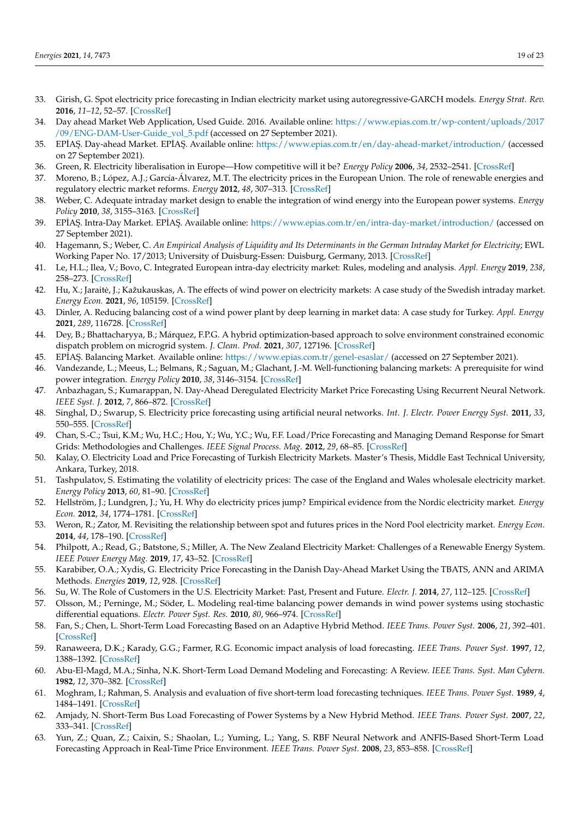- <span id="page-18-0"></span>33. Girish, G. Spot electricity price forecasting in Indian electricity market using autoregressive-GARCH models. *Energy Strat. Rev.* **2016**, *11–12*, 52–57. [\[CrossRef\]](http://doi.org/10.1016/j.esr.2016.06.005)
- <span id="page-18-1"></span>34. Day ahead Market Web Application, Used Guide. 2016. Available online: [https://www.epias.com.tr/wp-content/uploads/2017](https://www.epias.com.tr/wp-content/uploads/2017/09/ENG-DAM-User-Guide_vol_5.pdf) [/09/ENG-DAM-User-Guide\\_vol\\_5.pdf](https://www.epias.com.tr/wp-content/uploads/2017/09/ENG-DAM-User-Guide_vol_5.pdf) (accessed on 27 September 2021).
- <span id="page-18-2"></span>35. EPİAŞ. Day-ahead Market. EPİAŞ. Available online: <https://www.epias.com.tr/en/day-ahead-market/introduction/> (accessed on 27 September 2021).
- <span id="page-18-3"></span>36. Green, R. Electricity liberalisation in Europe—How competitive will it be? *Energy Policy* **2006**, *34*, 2532–2541. [\[CrossRef\]](http://doi.org/10.1016/j.enpol.2004.08.016)
- <span id="page-18-4"></span>37. Moreno, B.; López, A.J.; García-Álvarez, M.T. The electricity prices in the European Union. The role of renewable energies and regulatory electric market reforms. *Energy* **2012**, *48*, 307–313. [\[CrossRef\]](http://doi.org/10.1016/j.energy.2012.06.059)
- <span id="page-18-5"></span>38. Weber, C. Adequate intraday market design to enable the integration of wind energy into the European power systems. *Energy Policy* **2010**, *38*, 3155–3163. [\[CrossRef\]](http://doi.org/10.1016/j.enpol.2009.07.040)
- <span id="page-18-6"></span>39. EPÍAŞ. Intra-Day Market. EPÍAŞ. Available online: <https://www.epias.com.tr/en/intra-day-market/introduction/> (accessed on 27 September 2021).
- <span id="page-18-7"></span>40. Hagemann, S.; Weber, C. *An Empirical Analysis of Liquidity and Its Determinants in the German Intraday Market for Electricity*; EWL Working Paper No. 17/2013; University of Duisburg-Essen: Duisburg, Germany, 2013. [\[CrossRef\]](http://doi.org/10.2139/ssrn.2349565)
- <span id="page-18-8"></span>41. Le, H.L.; Ilea, V.; Bovo, C. Integrated European intra-day electricity market: Rules, modeling and analysis. *Appl. Energy* **2019**, *238*, 258–273. [\[CrossRef\]](http://doi.org/10.1016/j.apenergy.2018.12.073)
- <span id="page-18-9"></span>42. Hu, X.; Jaraitė, J.; Kažukauskas, A. The effects of wind power on electricity markets: A case study of the Swedish intraday market. *Energy Econ.* **2021**, *96*, 105159. [\[CrossRef\]](http://doi.org/10.1016/j.eneco.2021.105159)
- <span id="page-18-10"></span>43. Dinler, A. Reducing balancing cost of a wind power plant by deep learning in market data: A case study for Turkey. *Appl. Energy* **2021**, *289*, 116728. [\[CrossRef\]](http://doi.org/10.1016/j.apenergy.2021.116728)
- <span id="page-18-11"></span>44. Dey, B.; Bhattacharyya, B.; Márquez, F.P.G. A hybrid optimization-based approach to solve environment constrained economic dispatch problem on microgrid system. *J. Clean. Prod.* **2021**, *307*, 127196. [\[CrossRef\]](http://doi.org/10.1016/j.jclepro.2021.127196)
- <span id="page-18-12"></span>45. EPİAS. Balancing Market. Available online: <https://www.epias.com.tr/genel-esaslar/> (accessed on 27 September 2021).
- <span id="page-18-13"></span>46. Vandezande, L.; Meeus, L.; Belmans, R.; Saguan, M.; Glachant, J.-M. Well-functioning balancing markets: A prerequisite for wind power integration. *Energy Policy* **2010**, *38*, 3146–3154. [\[CrossRef\]](http://doi.org/10.1016/j.enpol.2009.07.034)
- <span id="page-18-14"></span>47. Anbazhagan, S.; Kumarappan, N. Day-Ahead Deregulated Electricity Market Price Forecasting Using Recurrent Neural Network. *IEEE Syst. J.* **2012**, *7*, 866–872. [\[CrossRef\]](http://doi.org/10.1109/JSYST.2012.2225733)
- <span id="page-18-15"></span>48. Singhal, D.; Swarup, S. Electricity price forecasting using artificial neural networks. *Int. J. Electr. Power Energy Syst.* **2011**, *33*, 550–555. [\[CrossRef\]](http://doi.org/10.1016/j.ijepes.2010.12.009)
- <span id="page-18-16"></span>49. Chan, S.-C.; Tsui, K.M.; Wu, H.C.; Hou, Y.; Wu, Y.C.; Wu, F.F. Load/Price Forecasting and Managing Demand Response for Smart Grids: Methodologies and Challenges. *IEEE Signal Process. Mag.* **2012**, *29*, 68–85. [\[CrossRef\]](http://doi.org/10.1109/MSP.2012.2186531)
- <span id="page-18-17"></span>50. Kalay, O. Electricity Load and Price Forecasting of Turkish Electricity Markets. Master's Thesis, Middle East Technical University, Ankara, Turkey, 2018.
- <span id="page-18-18"></span>51. Tashpulatov, S. Estimating the volatility of electricity prices: The case of the England and Wales wholesale electricity market. *Energy Policy* **2013**, *60*, 81–90. [\[CrossRef\]](http://doi.org/10.1016/j.enpol.2013.04.045)
- <span id="page-18-19"></span>52. Hellström, J.; Lundgren, J.; Yu, H. Why do electricity prices jump? Empirical evidence from the Nordic electricity market. *Energy Econ.* **2012**, *34*, 1774–1781. [\[CrossRef\]](http://doi.org/10.1016/j.eneco.2012.07.006)
- <span id="page-18-20"></span>53. Weron, R.; Zator, M. Revisiting the relationship between spot and futures prices in the Nord Pool electricity market. *Energy Econ.* **2014**, *44*, 178–190. [\[CrossRef\]](http://doi.org/10.1016/j.eneco.2014.03.007)
- <span id="page-18-21"></span>54. Philpott, A.; Read, G.; Batstone, S.; Miller, A. The New Zealand Electricity Market: Challenges of a Renewable Energy System. *IEEE Power Energy Mag.* **2019**, *17*, 43–52. [\[CrossRef\]](http://doi.org/10.1109/MPE.2018.2871705)
- <span id="page-18-22"></span>55. Karabiber, O.A.; Xydis, G. Electricity Price Forecasting in the Danish Day-Ahead Market Using the TBATS, ANN and ARIMA Methods. *Energies* **2019**, *12*, 928. [\[CrossRef\]](http://doi.org/10.3390/en12050928)
- <span id="page-18-23"></span>56. Su, W. The Role of Customers in the U.S. Electricity Market: Past, Present and Future. *Electr. J.* **2014**, *27*, 112–125. [\[CrossRef\]](http://doi.org/10.1016/j.tej.2014.07.006)
- <span id="page-18-24"></span>57. Olsson, M.; Perninge, M.; Söder, L. Modeling real-time balancing power demands in wind power systems using stochastic differential equations. *Electr. Power Syst. Res.* **2010**, *80*, 966–974. [\[CrossRef\]](http://doi.org/10.1016/j.epsr.2010.01.004)
- <span id="page-18-25"></span>58. Fan, S.; Chen, L. Short-Term Load Forecasting Based on an Adaptive Hybrid Method. *IEEE Trans. Power Syst.* **2006**, *21*, 392–401. [\[CrossRef\]](http://doi.org/10.1109/TPWRS.2005.860944)
- <span id="page-18-26"></span>59. Ranaweera, D.K.; Karady, G.G.; Farmer, R.G. Economic impact analysis of load forecasting. *IEEE Trans. Power Syst.* **1997**, *12*, 1388–1392. [\[CrossRef\]](http://doi.org/10.1109/59.630486)
- <span id="page-18-27"></span>60. Abu-El-Magd, M.A.; Sinha, N.K. Short-Term Load Demand Modeling and Forecasting: A Review. *IEEE Trans. Syst. Man Cybern.* **1982**, *12*, 370–382. [\[CrossRef\]](http://doi.org/10.1109/TSMC.1982.4308827)
- <span id="page-18-28"></span>61. Moghram, I.; Rahman, S. Analysis and evaluation of five short-term load forecasting techniques. *IEEE Trans. Power Syst.* **1989**, *4*, 1484–1491. [\[CrossRef\]](http://doi.org/10.1109/59.41700)
- <span id="page-18-29"></span>62. Amjady, N. Short-Term Bus Load Forecasting of Power Systems by a New Hybrid Method. *IEEE Trans. Power Syst.* **2007**, *22*, 333–341. [\[CrossRef\]](http://doi.org/10.1109/TPWRS.2006.889130)
- <span id="page-18-30"></span>63. Yun, Z.; Quan, Z.; Caixin, S.; Shaolan, L.; Yuming, L.; Yang, S. RBF Neural Network and ANFIS-Based Short-Term Load Forecasting Approach in Real-Time Price Environment. *IEEE Trans. Power Syst.* **2008**, *23*, 853–858. [\[CrossRef\]](http://doi.org/10.1109/tpwrs.2008.922249)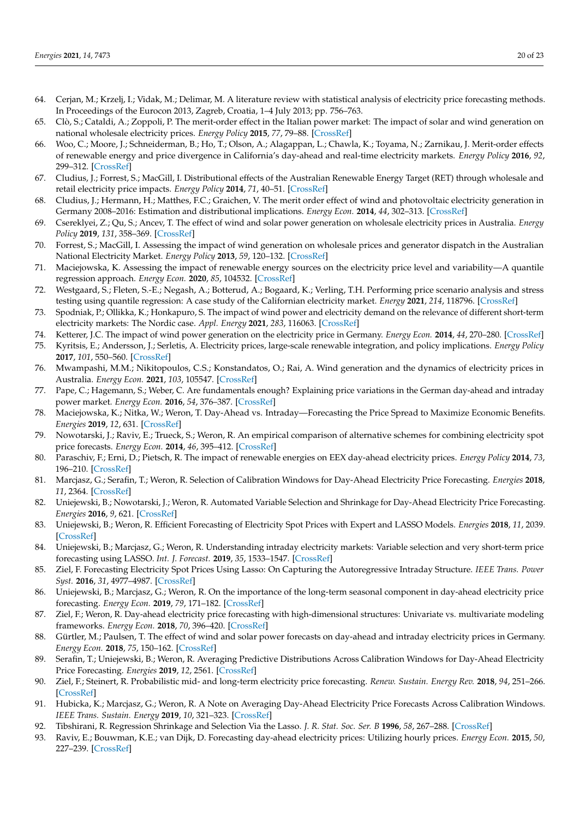- <span id="page-19-0"></span>64. Cerjan, M.; Krzelj, I.; Vidak, M.; Delimar, M. A literature review with statistical analysis of electricity price forecasting methods. In Proceedings of the Eurocon 2013, Zagreb, Croatia, 1–4 July 2013; pp. 756–763.
- <span id="page-19-1"></span>65. Clò, S.; Cataldi, A.; Zoppoli, P. The merit-order effect in the Italian power market: The impact of solar and wind generation on national wholesale electricity prices. *Energy Policy* **2015**, *77*, 79–88. [\[CrossRef\]](http://doi.org/10.1016/j.enpol.2014.11.038)
- <span id="page-19-2"></span>66. Woo, C.; Moore, J.; Schneiderman, B.; Ho, T.; Olson, A.; Alagappan, L.; Chawla, K.; Toyama, N.; Zarnikau, J. Merit-order effects of renewable energy and price divergence in California's day-ahead and real-time electricity markets. *Energy Policy* **2016**, *92*, 299–312. [\[CrossRef\]](http://doi.org/10.1016/j.enpol.2016.02.023)
- <span id="page-19-3"></span>67. Cludius, J.; Forrest, S.; MacGill, I. Distributional effects of the Australian Renewable Energy Target (RET) through wholesale and retail electricity price impacts. *Energy Policy* **2014**, *71*, 40–51. [\[CrossRef\]](http://doi.org/10.1016/j.enpol.2014.04.008)
- <span id="page-19-4"></span>68. Cludius, J.; Hermann, H.; Matthes, F.C.; Graichen, V. The merit order effect of wind and photovoltaic electricity generation in Germany 2008–2016: Estimation and distributional implications. *Energy Econ.* **2014**, *44*, 302–313. [\[CrossRef\]](http://doi.org/10.1016/j.eneco.2014.04.020)
- <span id="page-19-5"></span>69. Csereklyei, Z.; Qu, S.; Ancev, T. The effect of wind and solar power generation on wholesale electricity prices in Australia. *Energy Policy* **2019**, *131*, 358–369. [\[CrossRef\]](http://doi.org/10.1016/j.enpol.2019.04.007)
- <span id="page-19-6"></span>70. Forrest, S.; MacGill, I. Assessing the impact of wind generation on wholesale prices and generator dispatch in the Australian National Electricity Market. *Energy Policy* **2013**, *59*, 120–132. [\[CrossRef\]](http://doi.org/10.1016/j.enpol.2013.02.026)
- <span id="page-19-7"></span>71. Maciejowska, K. Assessing the impact of renewable energy sources on the electricity price level and variability—A quantile regression approach. *Energy Econ.* **2020**, *85*, 104532. [\[CrossRef\]](http://doi.org/10.1016/j.eneco.2019.104532)
- <span id="page-19-8"></span>72. Westgaard, S.; Fleten, S.-E.; Negash, A.; Botterud, A.; Bogaard, K.; Verling, T.H. Performing price scenario analysis and stress testing using quantile regression: A case study of the Californian electricity market. *Energy* **2021**, *214*, 118796. [\[CrossRef\]](http://doi.org/10.1016/j.energy.2020.118796)
- <span id="page-19-9"></span>73. Spodniak, P.; Ollikka, K.; Honkapuro, S. The impact of wind power and electricity demand on the relevance of different short-term electricity markets: The Nordic case. *Appl. Energy* **2021**, *283*, 116063. [\[CrossRef\]](http://doi.org/10.1016/j.apenergy.2020.116063)
- <span id="page-19-10"></span>74. Ketterer, J.C. The impact of wind power generation on the electricity price in Germany. *Energy Econ.* **2014**, *44*, 270–280. [\[CrossRef\]](http://doi.org/10.1016/j.eneco.2014.04.003)
- <span id="page-19-11"></span>75. Kyritsis, E.; Andersson, J.; Serletis, A. Electricity prices, large-scale renewable integration, and policy implications. *Energy Policy* **2017**, *101*, 550–560. [\[CrossRef\]](http://doi.org/10.1016/j.enpol.2016.11.014)
- <span id="page-19-12"></span>76. Mwampashi, M.M.; Nikitopoulos, C.S.; Konstandatos, O.; Rai, A. Wind generation and the dynamics of electricity prices in Australia. *Energy Econ.* **2021**, *103*, 105547. [\[CrossRef\]](http://doi.org/10.1016/j.eneco.2021.105547)
- <span id="page-19-13"></span>77. Pape, C.; Hagemann, S.; Weber, C. Are fundamentals enough? Explaining price variations in the German day-ahead and intraday power market. *Energy Econ.* **2016**, *54*, 376–387. [\[CrossRef\]](http://doi.org/10.1016/j.eneco.2015.12.013)
- <span id="page-19-14"></span>78. Maciejowska, K.; Nitka, W.; Weron, T. Day-Ahead vs. Intraday—Forecasting the Price Spread to Maximize Economic Benefits. *Energies* **2019**, *12*, 631. [\[CrossRef\]](http://doi.org/10.3390/en12040631)
- <span id="page-19-15"></span>79. Nowotarski, J.; Raviv, E.; Trueck, S.; Weron, R. An empirical comparison of alternative schemes for combining electricity spot price forecasts. *Energy Econ.* **2014**, *46*, 395–412. [\[CrossRef\]](http://doi.org/10.1016/j.eneco.2014.07.014)
- <span id="page-19-16"></span>80. Paraschiv, F.; Erni, D.; Pietsch, R. The impact of renewable energies on EEX day-ahead electricity prices. *Energy Policy* **2014**, *73*, 196–210. [\[CrossRef\]](http://doi.org/10.1016/j.enpol.2014.05.004)
- <span id="page-19-17"></span>81. Marcjasz, G.; Serafin, T.; Weron, R. Selection of Calibration Windows for Day-Ahead Electricity Price Forecasting. *Energies* **2018**, *11*, 2364. [\[CrossRef\]](http://doi.org/10.3390/en11092364)
- <span id="page-19-18"></span>82. Uniejewski, B.; Nowotarski, J.; Weron, R. Automated Variable Selection and Shrinkage for Day-Ahead Electricity Price Forecasting. *Energies* **2016**, *9*, 621. [\[CrossRef\]](http://doi.org/10.3390/en9080621)
- <span id="page-19-19"></span>83. Uniejewski, B.; Weron, R. Efficient Forecasting of Electricity Spot Prices with Expert and LASSO Models. *Energies* **2018**, *11*, 2039. [\[CrossRef\]](http://doi.org/10.3390/en11082039)
- <span id="page-19-27"></span>84. Uniejewski, B.; Marcjasz, G.; Weron, R. Understanding intraday electricity markets: Variable selection and very short-term price forecasting using LASSO. *Int. J. Forecast.* **2019**, *35*, 1533–1547. [\[CrossRef\]](http://doi.org/10.1016/j.ijforecast.2019.02.001)
- <span id="page-19-20"></span>85. Ziel, F. Forecasting Electricity Spot Prices Using Lasso: On Capturing the Autoregressive Intraday Structure. *IEEE Trans. Power Syst.* **2016**, *31*, 4977–4987. [\[CrossRef\]](http://doi.org/10.1109/TPWRS.2016.2521545)
- <span id="page-19-21"></span>86. Uniejewski, B.; Marcjasz, G.; Weron, R. On the importance of the long-term seasonal component in day-ahead electricity price forecasting. *Energy Econ.* **2019**, *79*, 171–182. [\[CrossRef\]](http://doi.org/10.1016/j.eneco.2018.02.007)
- <span id="page-19-22"></span>87. Ziel, F.; Weron, R. Day-ahead electricity price forecasting with high-dimensional structures: Univariate vs. multivariate modeling frameworks. *Energy Econ.* **2018**, *70*, 396–420. [\[CrossRef\]](http://doi.org/10.1016/j.eneco.2017.12.016)
- <span id="page-19-23"></span>88. Gürtler, M.; Paulsen, T. The effect of wind and solar power forecasts on day-ahead and intraday electricity prices in Germany. *Energy Econ.* **2018**, *75*, 150–162. [\[CrossRef\]](http://doi.org/10.1016/j.eneco.2018.07.006)
- <span id="page-19-24"></span>89. Serafin, T.; Uniejewski, B.; Weron, R. Averaging Predictive Distributions Across Calibration Windows for Day-Ahead Electricity Price Forecasting. *Energies* **2019**, *12*, 2561. [\[CrossRef\]](http://doi.org/10.3390/en12132561)
- <span id="page-19-25"></span>90. Ziel, F.; Steinert, R. Probabilistic mid- and long-term electricity price forecasting. *Renew. Sustain. Energy Rev.* **2018**, *94*, 251–266. [\[CrossRef\]](http://doi.org/10.1016/j.rser.2018.05.038)
- <span id="page-19-26"></span>91. Hubicka, K.; Marcjasz, G.; Weron, R. A Note on Averaging Day-Ahead Electricity Price Forecasts Across Calibration Windows. *IEEE Trans. Sustain. Energy* **2019**, *10*, 321–323. [\[CrossRef\]](http://doi.org/10.1109/TSTE.2018.2869557)
- <span id="page-19-28"></span>92. Tibshirani, R. Regression Shrinkage and Selection Via the Lasso. *J. R. Stat. Soc. Ser. B* **1996**, *58*, 267–288. [\[CrossRef\]](http://doi.org/10.1111/j.2517-6161.1996.tb02080.x)
- <span id="page-19-29"></span>93. Raviv, E.; Bouwman, K.E.; van Dijk, D. Forecasting day-ahead electricity prices: Utilizing hourly prices. *Energy Econ.* **2015**, *50*, 227–239. [\[CrossRef\]](http://doi.org/10.1016/j.eneco.2015.05.014)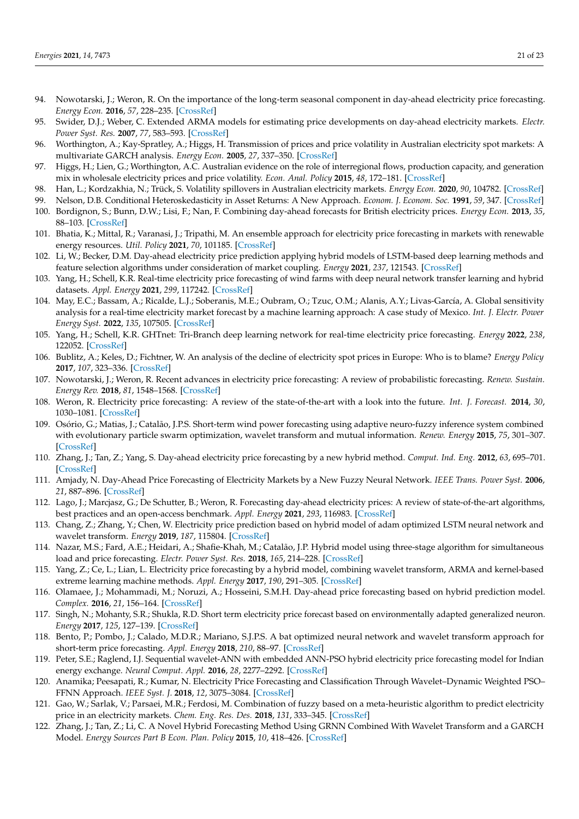- <span id="page-20-0"></span>94. Nowotarski, J.; Weron, R. On the importance of the long-term seasonal component in day-ahead electricity price forecasting. *Energy Econ.* **2016**, *57*, 228–235. [\[CrossRef\]](http://doi.org/10.1016/j.eneco.2016.05.009)
- <span id="page-20-1"></span>95. Swider, D.J.; Weber, C. Extended ARMA models for estimating price developments on day-ahead electricity markets. *Electr. Power Syst. Res.* **2007**, *77*, 583–593. [\[CrossRef\]](http://doi.org/10.1016/j.epsr.2006.05.013)
- 96. Worthington, A.; Kay-Spratley, A.; Higgs, H. Transmission of prices and price volatility in Australian electricity spot markets: A multivariate GARCH analysis. *Energy Econ.* **2005**, *27*, 337–350. [\[CrossRef\]](http://doi.org/10.1016/j.eneco.2003.11.002)
- 97. Higgs, H.; Lien, G.; Worthington, A.C. Australian evidence on the role of interregional flows, production capacity, and generation mix in wholesale electricity prices and price volatility. *Econ. Anal. Policy* **2015**, *48*, 172–181. [\[CrossRef\]](http://doi.org/10.1016/j.eap.2015.11.008)
- <span id="page-20-2"></span>98. Han, L.; Kordzakhia, N.; Trück, S. Volatility spillovers in Australian electricity markets. *Energy Econ.* **2020**, *90*, 104782. [\[CrossRef\]](http://doi.org/10.1016/j.eneco.2020.104782)
- <span id="page-20-3"></span>99. Nelson, D.B. Conditional Heteroskedasticity in Asset Returns: A New Approach. *Econom. J. Econom. Soc.* **1991**, *59*, 347. [\[CrossRef\]](http://doi.org/10.2307/2938260)
- <span id="page-20-4"></span>100. Bordignon, S.; Bunn, D.W.; Lisi, F.; Nan, F. Combining day-ahead forecasts for British electricity prices. *Energy Econ.* **2013**, *35*, 88–103. [\[CrossRef\]](http://doi.org/10.1016/j.eneco.2011.12.001)
- <span id="page-20-5"></span>101. Bhatia, K.; Mittal, R.; Varanasi, J.; Tripathi, M. An ensemble approach for electricity price forecasting in markets with renewable energy resources. *Util. Policy* **2021**, *70*, 101185. [\[CrossRef\]](http://doi.org/10.1016/j.jup.2021.101185)
- <span id="page-20-6"></span>102. Li, W.; Becker, D.M. Day-ahead electricity price prediction applying hybrid models of LSTM-based deep learning methods and feature selection algorithms under consideration of market coupling. *Energy* **2021**, *237*, 121543. [\[CrossRef\]](http://doi.org/10.1016/j.energy.2021.121543)
- <span id="page-20-7"></span>103. Yang, H.; Schell, K.R. Real-time electricity price forecasting of wind farms with deep neural network transfer learning and hybrid datasets. *Appl. Energy* **2021**, *299*, 117242. [\[CrossRef\]](http://doi.org/10.1016/j.apenergy.2021.117242)
- <span id="page-20-8"></span>104. May, E.C.; Bassam, A.; Ricalde, L.J.; Soberanis, M.E.; Oubram, O.; Tzuc, O.M.; Alanis, A.Y.; Livas-García, A. Global sensitivity analysis for a real-time electricity market forecast by a machine learning approach: A case study of Mexico. *Int. J. Electr. Power Energy Syst.* **2022**, *135*, 107505. [\[CrossRef\]](http://doi.org/10.1016/j.ijepes.2021.107505)
- <span id="page-20-9"></span>105. Yang, H.; Schell, K.R. GHTnet: Tri-Branch deep learning network for real-time electricity price forecasting. *Energy* **2022**, *238*, 122052. [\[CrossRef\]](http://doi.org/10.1016/j.energy.2021.122052)
- <span id="page-20-10"></span>106. Bublitz, A.; Keles, D.; Fichtner, W. An analysis of the decline of electricity spot prices in Europe: Who is to blame? *Energy Policy* **2017**, *107*, 323–336. [\[CrossRef\]](http://doi.org/10.1016/j.enpol.2017.04.034)
- <span id="page-20-11"></span>107. Nowotarski, J.; Weron, R. Recent advances in electricity price forecasting: A review of probabilistic forecasting. *Renew. Sustain. Energy Rev.* **2018**, *81*, 1548–1568. [\[CrossRef\]](http://doi.org/10.1016/j.rser.2017.05.234)
- <span id="page-20-12"></span>108. Weron, R. Electricity price forecasting: A review of the state-of-the-art with a look into the future. *Int. J. Forecast.* **2014**, *30*, 1030–1081. [\[CrossRef\]](http://doi.org/10.1016/j.ijforecast.2014.08.008)
- <span id="page-20-13"></span>109. Osório, G.; Matias, J.; Catalão, J.P.S. Short-term wind power forecasting using adaptive neuro-fuzzy inference system combined with evolutionary particle swarm optimization, wavelet transform and mutual information. *Renew. Energy* **2015**, *75*, 301–307. [\[CrossRef\]](http://doi.org/10.1016/j.renene.2014.09.058)
- <span id="page-20-14"></span>110. Zhang, J.; Tan, Z.; Yang, S. Day-ahead electricity price forecasting by a new hybrid method. *Comput. Ind. Eng.* **2012**, *63*, 695–701. [\[CrossRef\]](http://doi.org/10.1016/j.cie.2012.03.016)
- <span id="page-20-15"></span>111. Amjady, N. Day-Ahead Price Forecasting of Electricity Markets by a New Fuzzy Neural Network. *IEEE Trans. Power Syst.* **2006**, *21*, 887–896. [\[CrossRef\]](http://doi.org/10.1109/TPWRS.2006.873409)
- <span id="page-20-16"></span>112. Lago, J.; Marcjasz, G.; De Schutter, B.; Weron, R. Forecasting day-ahead electricity prices: A review of state-of-the-art algorithms, best practices and an open-access benchmark. *Appl. Energy* **2021**, *293*, 116983. [\[CrossRef\]](http://doi.org/10.1016/j.apenergy.2021.116983)
- <span id="page-20-17"></span>113. Chang, Z.; Zhang, Y.; Chen, W. Electricity price prediction based on hybrid model of adam optimized LSTM neural network and wavelet transform. *Energy* **2019**, *187*, 115804. [\[CrossRef\]](http://doi.org/10.1016/j.energy.2019.07.134)
- <span id="page-20-21"></span>114. Nazar, M.S.; Fard, A.E.; Heidari, A.; Shafie-Khah, M.; Catalão, J.P. Hybrid model using three-stage algorithm for simultaneous load and price forecasting. *Electr. Power Syst. Res.* **2018**, *165*, 214–228. [\[CrossRef\]](http://doi.org/10.1016/j.epsr.2018.09.004)
- <span id="page-20-23"></span>115. Yang, Z.; Ce, L.; Lian, L. Electricity price forecasting by a hybrid model, combining wavelet transform, ARMA and kernel-based extreme learning machine methods. *Appl. Energy* **2017**, *190*, 291–305. [\[CrossRef\]](http://doi.org/10.1016/j.apenergy.2016.12.130)
- <span id="page-20-22"></span>116. Olamaee, J.; Mohammadi, M.; Noruzi, A.; Hosseini, S.M.H. Day-ahead price forecasting based on hybrid prediction model. *Complex.* **2016**, *21*, 156–164. [\[CrossRef\]](http://doi.org/10.1002/cplx.21792)
- 117. Singh, N.; Mohanty, S.R.; Shukla, R.D. Short term electricity price forecast based on environmentally adapted generalized neuron. *Energy* **2017**, *125*, 127–139. [\[CrossRef\]](http://doi.org/10.1016/j.energy.2017.02.094)
- <span id="page-20-19"></span>118. Bento, P.; Pombo, J.; Calado, M.D.R.; Mariano, S.J.P.S. A bat optimized neural network and wavelet transform approach for short-term price forecasting. *Appl. Energy* **2018**, *210*, 88–97. [\[CrossRef\]](http://doi.org/10.1016/j.apenergy.2017.10.058)
- 119. Peter, S.E.; Raglend, I.J. Sequential wavelet-ANN with embedded ANN-PSO hybrid electricity price forecasting model for Indian energy exchange. *Neural Comput. Appl.* **2016**, *28*, 2277–2292. [\[CrossRef\]](http://doi.org/10.1007/s00521-015-2141-3)
- 120. Anamika; Peesapati, R.; Kumar, N. Electricity Price Forecasting and Classification Through Wavelet–Dynamic Weighted PSO– FFNN Approach. *IEEE Syst. J.* **2018**, *12*, 3075–3084. [\[CrossRef\]](http://doi.org/10.1109/JSYST.2017.2717446)
- <span id="page-20-20"></span>121. Gao, W.; Sarlak, V.; Parsaei, M.R.; Ferdosi, M. Combination of fuzzy based on a meta-heuristic algorithm to predict electricity price in an electricity markets. *Chem. Eng. Res. Des.* **2018**, *131*, 333–345. [\[CrossRef\]](http://doi.org/10.1016/j.cherd.2017.09.021)
- <span id="page-20-18"></span>122. Zhang, J.; Tan, Z.; Li, C. A Novel Hybrid Forecasting Method Using GRNN Combined With Wavelet Transform and a GARCH Model. *Energy Sources Part B Econ. Plan. Policy* **2015**, *10*, 418–426. [\[CrossRef\]](http://doi.org/10.1080/15567249.2011.557685)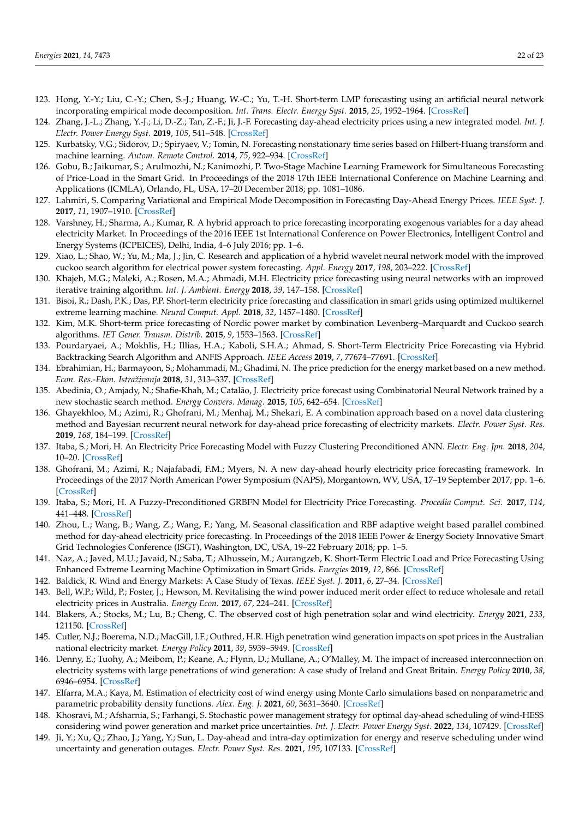- <span id="page-21-0"></span>123. Hong, Y.-Y.; Liu, C.-Y.; Chen, S.-J.; Huang, W.-C.; Yu, T.-H. Short-term LMP forecasting using an artificial neural network incorporating empirical mode decomposition. *Int. Trans. Electr. Energy Syst.* **2015**, *25*, 1952–1964. [\[CrossRef\]](http://doi.org/10.1002/etep.1949)
- <span id="page-21-10"></span>124. Zhang, J.-L.; Zhang, Y.-J.; Li, D.-Z.; Tan, Z.-F.; Ji, J.-F. Forecasting day-ahead electricity prices using a new integrated model. *Int. J. Electr. Power Energy Syst.* **2019**, *105*, 541–548. [\[CrossRef\]](http://doi.org/10.1016/j.ijepes.2018.08.025)
- 125. Kurbatsky, V.G.; Sidorov, D.; Spiryaev, V.; Tomin, N. Forecasting nonstationary time series based on Hilbert-Huang transform and machine learning. *Autom. Remote Control.* **2014**, *75*, 922–934. [\[CrossRef\]](http://doi.org/10.1134/S0005117914050105)
- <span id="page-21-13"></span>126. Gobu, B.; Jaikumar, S.; Arulmozhi, N.; Kanimozhi, P. Two-Stage Machine Learning Framework for Simultaneous Forecasting of Price-Load in the Smart Grid. In Proceedings of the 2018 17th IEEE International Conference on Machine Learning and Applications (ICMLA), Orlando, FL, USA, 17–20 December 2018; pp. 1081–1086.
- 127. Lahmiri, S. Comparing Variational and Empirical Mode Decomposition in Forecasting Day-Ahead Energy Prices. *IEEE Syst. J.* **2017**, *11*, 1907–1910. [\[CrossRef\]](http://doi.org/10.1109/JSYST.2015.2487339)
- 128. Varshney, H.; Sharma, A.; Kumar, R. A hybrid approach to price forecasting incorporating exogenous variables for a day ahead electricity Market. In Proceedings of the 2016 IEEE 1st International Conference on Power Electronics, Intelligent Control and Energy Systems (ICPEICES), Delhi, India, 4–6 July 2016; pp. 1–6.
- <span id="page-21-1"></span>129. Xiao, L.; Shao, W.; Yu, M.; Ma, J.; Jin, C. Research and application of a hybrid wavelet neural network model with the improved cuckoo search algorithm for electrical power system forecasting. *Appl. Energy* **2017**, *198*, 203–222. [\[CrossRef\]](http://doi.org/10.1016/j.apenergy.2017.04.039)
- <span id="page-21-2"></span>130. Khajeh, M.G.; Maleki, A.; Rosen, M.A.; Ahmadi, M.H. Electricity price forecasting using neural networks with an improved iterative training algorithm. *Int. J. Ambient. Energy* **2018**, *39*, 147–158. [\[CrossRef\]](http://doi.org/10.1080/01430750.2016.1269674)
- <span id="page-21-14"></span>131. Bisoi, R.; Dash, P.K.; Das, P.P. Short-term electricity price forecasting and classification in smart grids using optimized multikernel extreme learning machine. *Neural Comput. Appl.* **2018**, *32*, 1457–1480. [\[CrossRef\]](http://doi.org/10.1007/s00521-018-3652-5)
- <span id="page-21-3"></span>132. Kim, M.K. Short-term price forecasting of Nordic power market by combination Levenberg–Marquardt and Cuckoo search algorithms. *IET Gener. Transm. Distrib.* **2015**, *9*, 1553–1563. [\[CrossRef\]](http://doi.org/10.1049/iet-gtd.2014.0957)
- <span id="page-21-4"></span>133. Pourdaryaei, A.; Mokhlis, H.; Illias, H.A.; Kaboli, S.H.A.; Ahmad, S. Short-Term Electricity Price Forecasting via Hybrid Backtracking Search Algorithm and ANFIS Approach. *IEEE Access* **2019**, *7*, 77674–77691. [\[CrossRef\]](http://doi.org/10.1109/ACCESS.2019.2922420)
- 134. Ebrahimian, H.; Barmayoon, S.; Mohammadi, M.; Ghadimi, N. The price prediction for the energy market based on a new method. *Econ. Res.-Ekon. Istraživanja* **2018**, *31*, 313–337. [\[CrossRef\]](http://doi.org/10.1080/1331677X.2018.1429291)
- <span id="page-21-5"></span>135. Abedinia, O.; Amjady, N.; Shafie-Khah, M.; Catalão, J. Electricity price forecast using Combinatorial Neural Network trained by a new stochastic search method. *Energy Convers. Manag.* **2015**, *105*, 642–654. [\[CrossRef\]](http://doi.org/10.1016/j.enconman.2015.08.025)
- <span id="page-21-6"></span>136. Ghayekhloo, M.; Azimi, R.; Ghofrani, M.; Menhaj, M.; Shekari, E. A combination approach based on a novel data clustering method and Bayesian recurrent neural network for day-ahead price forecasting of electricity markets. *Electr. Power Syst. Res.* **2019**, *168*, 184–199. [\[CrossRef\]](http://doi.org/10.1016/j.epsr.2018.11.021)
- <span id="page-21-7"></span>137. Itaba, S.; Mori, H. An Electricity Price Forecasting Model with Fuzzy Clustering Preconditioned ANN. *Electr. Eng. Jpn.* **2018**, *204*, 10–20. [\[CrossRef\]](http://doi.org/10.1002/eej.23094)
- <span id="page-21-8"></span>138. Ghofrani, M.; Azimi, R.; Najafabadi, F.M.; Myers, N. A new day-ahead hourly electricity price forecasting framework. In Proceedings of the 2017 North American Power Symposium (NAPS), Morgantown, WV, USA, 17–19 September 2017; pp. 1–6. [\[CrossRef\]](http://doi.org/10.1109/naps.2017.8107269)
- <span id="page-21-9"></span>139. Itaba, S.; Mori, H. A Fuzzy-Preconditioned GRBFN Model for Electricity Price Forecasting. *Procedia Comput. Sci.* **2017**, *114*, 441–448. [\[CrossRef\]](http://doi.org/10.1016/j.procs.2017.09.010)
- <span id="page-21-11"></span>140. Zhou, L.; Wang, B.; Wang, Z.; Wang, F.; Yang, M. Seasonal classification and RBF adaptive weight based parallel combined method for day-ahead electricity price forecasting. In Proceedings of the 2018 IEEE Power & Energy Society Innovative Smart Grid Technologies Conference (ISGT), Washington, DC, USA, 19–22 February 2018; pp. 1–5.
- <span id="page-21-12"></span>141. Naz, A.; Javed, M.U.; Javaid, N.; Saba, T.; Alhussein, M.; Aurangzeb, K. Short-Term Electric Load and Price Forecasting Using Enhanced Extreme Learning Machine Optimization in Smart Grids. *Energies* **2019**, *12*, 866. [\[CrossRef\]](http://doi.org/10.3390/en12050866)
- <span id="page-21-15"></span>142. Baldick, R. Wind and Energy Markets: A Case Study of Texas. *IEEE Syst. J.* **2011**, *6*, 27–34. [\[CrossRef\]](http://doi.org/10.1109/JSYST.2011.2162798)
- <span id="page-21-16"></span>143. Bell, W.P.; Wild, P.; Foster, J.; Hewson, M. Revitalising the wind power induced merit order effect to reduce wholesale and retail electricity prices in Australia. *Energy Econ.* **2017**, *67*, 224–241. [\[CrossRef\]](http://doi.org/10.1016/j.eneco.2017.08.003)
- <span id="page-21-17"></span>144. Blakers, A.; Stocks, M.; Lu, B.; Cheng, C. The observed cost of high penetration solar and wind electricity. *Energy* **2021**, *233*, 121150. [\[CrossRef\]](http://doi.org/10.1016/j.energy.2021.121150)
- <span id="page-21-18"></span>145. Cutler, N.J.; Boerema, N.D.; MacGill, I.F.; Outhred, H.R. High penetration wind generation impacts on spot prices in the Australian national electricity market. *Energy Policy* **2011**, *39*, 5939–5949. [\[CrossRef\]](http://doi.org/10.1016/j.enpol.2011.06.053)
- <span id="page-21-19"></span>146. Denny, E.; Tuohy, A.; Meibom, P.; Keane, A.; Flynn, D.; Mullane, A.; O'Malley, M. The impact of increased interconnection on electricity systems with large penetrations of wind generation: A case study of Ireland and Great Britain. *Energy Policy* **2010**, *38*, 6946–6954. [\[CrossRef\]](http://doi.org/10.1016/j.enpol.2010.07.011)
- <span id="page-21-20"></span>147. Elfarra, M.A.; Kaya, M. Estimation of electricity cost of wind energy using Monte Carlo simulations based on nonparametric and parametric probability density functions. *Alex. Eng. J.* **2021**, *60*, 3631–3640. [\[CrossRef\]](http://doi.org/10.1016/j.aej.2021.02.027)
- <span id="page-21-21"></span>148. Khosravi, M.; Afsharnia, S.; Farhangi, S. Stochastic power management strategy for optimal day-ahead scheduling of wind-HESS considering wind power generation and market price uncertainties. *Int. J. Electr. Power Energy Syst.* **2022**, *134*, 107429. [\[CrossRef\]](http://doi.org/10.1016/j.ijepes.2021.107429)
- <span id="page-21-22"></span>149. Ji, Y.; Xu, Q.; Zhao, J.; Yang, Y.; Sun, L. Day-ahead and intra-day optimization for energy and reserve scheduling under wind uncertainty and generation outages. *Electr. Power Syst. Res.* **2021**, *195*, 107133. [\[CrossRef\]](http://doi.org/10.1016/j.epsr.2021.107133)